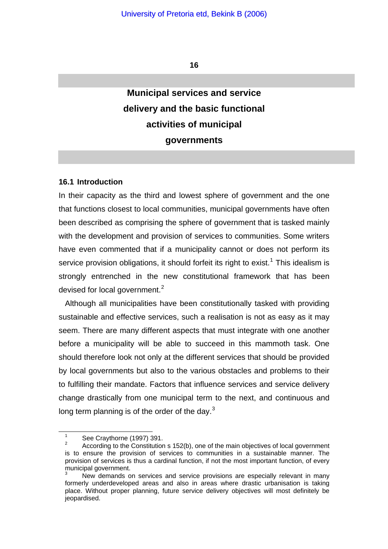**16** 

# **Municipal services and service delivery and the basic functional activities of municipal governments**

#### **16.1 Introduction**

In their capacity as the third and lowest sphere of government and the one that functions closest to local communities, municipal governments have often been described as comprising the sphere of government that is tasked mainly with the development and provision of services to communities. Some writers have even commented that if a municipality cannot or does not perform its service provision obligations, it should forfeit its right to exist.<sup>[1](#page-0-0)</sup> This idealism is strongly entrenched in the new constitutional framework that has been devised for local government.<sup>[2](#page-0-1)</sup>

Although all municipalities have been constitutionally tasked with providing sustainable and effective services, such a realisation is not as easy as it may seem. There are many different aspects that must integrate with one another before a municipality will be able to succeed in this mammoth task. One should therefore look not only at the different services that should be provided by local governments but also to the various obstacles and problems to their to fulfilling their mandate. Factors that influence services and service delivery change drastically from one municipal term to the next, and continuous and long term planning is of the order of the day. $3$ 

1 See Craythorne (1997) 391.

<span id="page-0-1"></span><span id="page-0-0"></span><sup>2</sup> According to the Constitution s 152(b), one of the main objectives of local government is to ensure the provision of services to communities in a sustainable manner. The provision of services is thus a cardinal function, if not the most important function, of every municipal government.

<span id="page-0-2"></span><sup>3</sup> New demands on services and service provisions are especially relevant in many formerly underdeveloped areas and also in areas where drastic urbanisation is taking place. Without proper planning, future service delivery objectives will most definitely be jeopardised.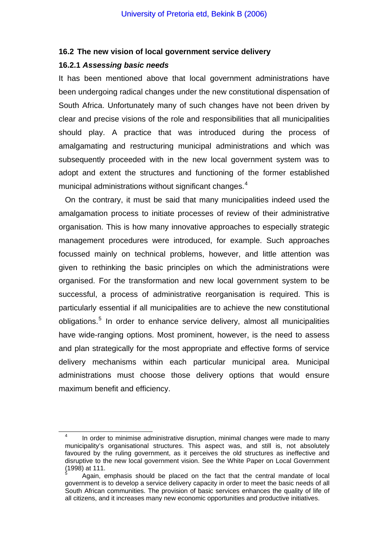#### **16.2 The new vision of local government service delivery**

#### **16.2.1** *Assessing basic needs*

It has been mentioned above that local government administrations have been undergoing radical changes under the new constitutional dispensation of South Africa. Unfortunately many of such changes have not been driven by clear and precise visions of the role and responsibilities that all municipalities should play. A practice that was introduced during the process of amalgamating and restructuring municipal administrations and which was subsequently proceeded with in the new local government system was to adopt and extent the structures and functioning of the former established municipal administrations without significant changes.<sup>[4](#page-1-0)</sup>

On the contrary, it must be said that many municipalities indeed used the amalgamation process to initiate processes of review of their administrative organisation. This is how many innovative approaches to especially strategic management procedures were introduced, for example. Such approaches focussed mainly on technical problems, however, and little attention was given to rethinking the basic principles on which the administrations were organised. For the transformation and new local government system to be successful, a process of administrative reorganisation is required. This is particularly essential if all municipalities are to achieve the new constitutional obligations.<sup>[5](#page-1-1)</sup> In order to enhance service delivery, almost all municipalities have wide-ranging options. Most prominent, however, is the need to assess and plan strategically for the most appropriate and effective forms of service delivery mechanisms within each particular municipal area. Municipal administrations must choose those delivery options that would ensure maximum benefit and efficiency.

<span id="page-1-0"></span> $\overline{4}$  In order to minimise administrative disruption, minimal changes were made to many municipality's organisational structures. This aspect was, and still is, not absolutely favoured by the ruling government, as it perceives the old structures as ineffective and disruptive to the new local government vision. See the White Paper on Local Government (1998) at 111.

<span id="page-1-1"></span><sup>5</sup> Again, emphasis should be placed on the fact that the central mandate of local government is to develop a service delivery capacity in order to meet the basic needs of all South African communities. The provision of basic services enhances the quality of life of all citizens, and it increases many new economic opportunities and productive initiatives.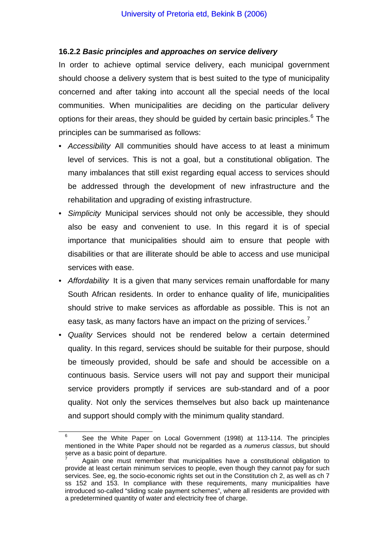### **16.2.2** *Basic principles and approaches on service delivery*

In order to achieve optimal service delivery, each municipal government should choose a delivery system that is best suited to the type of municipality concerned and after taking into account all the special needs of the local communities. When municipalities are deciding on the particular delivery options for their areas, they should be guided by certain basic principles.<sup>[6](#page-2-0)</sup> The principles can be summarised as follows:

- *Accessibility* All communities should have access to at least a minimum level of services. This is not a goal, but a constitutional obligation. The many imbalances that still exist regarding equal access to services should be addressed through the development of new infrastructure and the rehabilitation and upgrading of existing infrastructure.
- *Simplicity* Municipal services should not only be accessible, they should also be easy and convenient to use. In this regard it is of special importance that municipalities should aim to ensure that people with disabilities or that are illiterate should be able to access and use municipal services with ease.
- *Affordability* It is a given that many services remain unaffordable for many South African residents. In order to enhance quality of life, municipalities should strive to make services as affordable as possible. This is not an easy task, as many factors have an impact on the prizing of services.<sup> $7$ </sup>
- *Quality* Services should not be rendered below a certain determined quality. In this regard, services should be suitable for their purpose, should be timeously provided, should be safe and should be accessible on a continuous basis. Service users will not pay and support their municipal service providers promptly if services are sub-standard and of a poor quality. Not only the services themselves but also back up maintenance and support should comply with the minimum quality standard.

<span id="page-2-0"></span> $\overline{\phantom{0}}$  See the White Paper on Local Government (1998) at 113-114. The principles mentioned in the White Paper should not be regarded as a *numerus classus*, but should serve as a basic point of departure.

<span id="page-2-1"></span><sup>7</sup> Again one must remember that municipalities have a constitutional obligation to provide at least certain minimum services to people, even though they cannot pay for such services. See, eg, the socio-economic rights set out in the Constitution ch 2, as well as ch 7 ss 152 and 153. In compliance with these requirements, many municipalities have introduced so-called "sliding scale payment schemes", where all residents are provided with a predetermined quantity of water and electricity free of charge.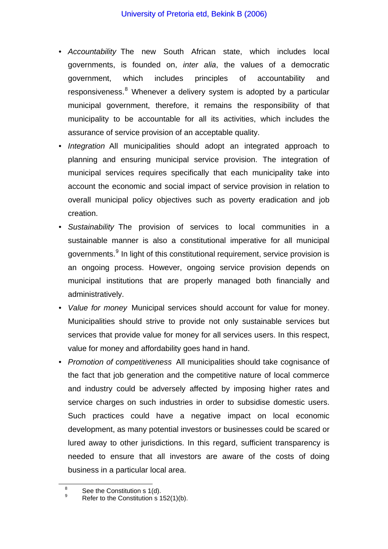- *Accountability* The new South African state, which includes local governments, is founded on, *inter alia*, the values of a democratic government, which includes principles of accountability and responsiveness.<sup>[8](#page-3-0)</sup> Whenever a delivery system is adopted by a particular municipal government, therefore, it remains the responsibility of that municipality to be accountable for all its activities, which includes the assurance of service provision of an acceptable quality.
- *Integration* All municipalities should adopt an integrated approach to planning and ensuring municipal service provision. The integration of municipal services requires specifically that each municipality take into account the economic and social impact of service provision in relation to overall municipal policy objectives such as poverty eradication and job creation.
- *Sustainability* The provision of services to local communities in a sustainable manner is also a constitutional imperative for all municipal governments.<sup>[9](#page-3-1)</sup> In light of this constitutional requirement, service provision is an ongoing process. However, ongoing service provision depends on municipal institutions that are properly managed both financially and administratively.
- *Value for money* Municipal services should account for value for money. Municipalities should strive to provide not only sustainable services but services that provide value for money for all services users. In this respect, value for money and affordability goes hand in hand.
- *Promotion of competitiveness* All municipalities should take cognisance of the fact that job generation and the competitive nature of local commerce and industry could be adversely affected by imposing higher rates and service charges on such industries in order to subsidise domestic users. Such practices could have a negative impact on local economic development, as many potential investors or businesses could be scared or lured away to other jurisdictions. In this regard, sufficient transparency is needed to ensure that all investors are aware of the costs of doing business in a particular local area.

9

<span id="page-3-1"></span><span id="page-3-0"></span>8 See the Constitution s 1(d).

Refer to the Constitution  $s$  152(1)(b).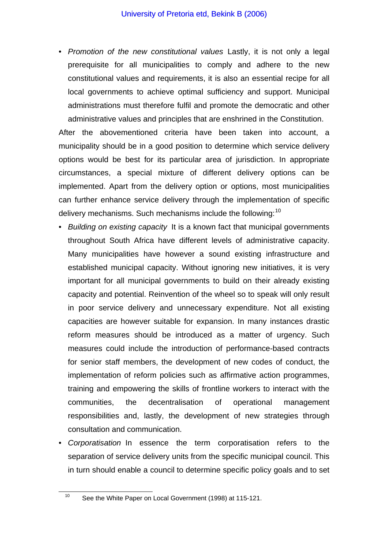• *Promotion of the new constitutional values* Lastly, it is not only a legal prerequisite for all municipalities to comply and adhere to the new constitutional values and requirements, it is also an essential recipe for all local governments to achieve optimal sufficiency and support. Municipal administrations must therefore fulfil and promote the democratic and other administrative values and principles that are enshrined in the Constitution.

After the abovementioned criteria have been taken into account, a municipality should be in a good position to determine which service delivery options would be best for its particular area of jurisdiction. In appropriate circumstances, a special mixture of different delivery options can be implemented. Apart from the delivery option or options, most municipalities can further enhance service delivery through the implementation of specific delivery mechanisms. Such mechanisms include the following:<sup>[10](#page-4-0)</sup>

- *Building on existing capacity* It is a known fact that municipal governments throughout South Africa have different levels of administrative capacity. Many municipalities have however a sound existing infrastructure and established municipal capacity. Without ignoring new initiatives, it is very important for all municipal governments to build on their already existing capacity and potential. Reinvention of the wheel so to speak will only result in poor service delivery and unnecessary expenditure. Not all existing capacities are however suitable for expansion. In many instances drastic reform measures should be introduced as a matter of urgency. Such measures could include the introduction of performance-based contracts for senior staff members, the development of new codes of conduct, the implementation of reform policies such as affirmative action programmes, training and empowering the skills of frontline workers to interact with the communities, the decentralisation of operational management responsibilities and, lastly, the development of new strategies through consultation and communication.
- *Corporatisation* In essence the term corporatisation refers to the separation of service delivery units from the specific municipal council. This in turn should enable a council to determine specific policy goals and to set

<span id="page-4-0"></span><sup>&</sup>lt;sup>10</sup> See the White Paper on Local Government (1998) at 115-121.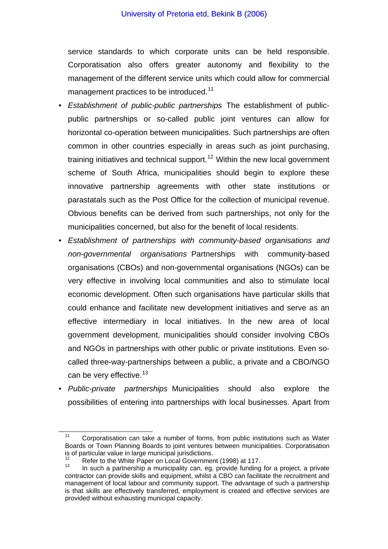service standards to which corporate units can be held responsible. Corporatisation also offers greater autonomy and flexibility to the management of the different service units which could allow for commercial management practices to be introduced.<sup>[11](#page-5-0)</sup>

- *Establishment of public-public partnerships* The establishment of publicpublic partnerships or so-called public joint ventures can allow for horizontal co-operation between municipalities. Such partnerships are often common in other countries especially in areas such as joint purchasing, training initiatives and technical support.<sup>[12](#page-5-1)</sup> Within the new local government scheme of South Africa, municipalities should begin to explore these innovative partnership agreements with other state institutions or parastatals such as the Post Office for the collection of municipal revenue. Obvious benefits can be derived from such partnerships, not only for the municipalities concerned, but also for the benefit of local residents.
- *Establishment of partnerships with community-based organisations and non-governmental organisations* Partnerships with community-based organisations (CBOs) and non-governmental organisations (NGOs) can be very effective in involving local communities and also to stimulate local economic development. Often such organisations have particular skills that could enhance and facilitate new development initiatives and serve as an effective intermediary in local initiatives. In the new area of local government development, municipalities should consider involving CBOs and NGOs in partnerships with other public or private institutions. Even socalled three-way-partnerships between a public, a private and a CBO/NGO can be very effective.<sup>[13](#page-5-2)</sup>
- *Public-private partnerships* Municipalities should also explore the possibilities of entering into partnerships with local businesses. Apart from

<span id="page-5-0"></span><sup>&</sup>lt;sup>11</sup> Corporatisation can take a number of forms, from public institutions such as Water Boards or Town Planning Boards to joint ventures between municipalities. Corporatisation is of particular value in large municipal jurisdictions.<br><sup>12</sup> Refer to the White Paper on Local Government (1998) at 117.

<span id="page-5-2"></span><span id="page-5-1"></span> $13$  In such a partnership a municipality can, eq. provide funding for a project, a private contractor can provide skills and equipment, whilst a CBO can facilitate the recruitment and management of local labour and community support. The advantage of such a partnership is that skills are effectively transferred, employment is created and effective services are provided without exhausting municipal capacity.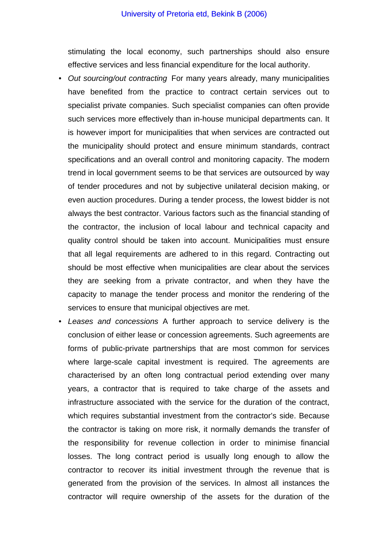#### University of Pretoria etd, Bekink B (2006)

stimulating the local economy, such partnerships should also ensure effective services and less financial expenditure for the local authority.

- *Out sourcing/out contracting* For many years already, many municipalities have benefited from the practice to contract certain services out to specialist private companies. Such specialist companies can often provide such services more effectively than in-house municipal departments can. It is however import for municipalities that when services are contracted out the municipality should protect and ensure minimum standards, contract specifications and an overall control and monitoring capacity. The modern trend in local government seems to be that services are outsourced by way of tender procedures and not by subjective unilateral decision making, or even auction procedures. During a tender process, the lowest bidder is not always the best contractor. Various factors such as the financial standing of the contractor, the inclusion of local labour and technical capacity and quality control should be taken into account. Municipalities must ensure that all legal requirements are adhered to in this regard. Contracting out should be most effective when municipalities are clear about the services they are seeking from a private contractor, and when they have the capacity to manage the tender process and monitor the rendering of the services to ensure that municipal objectives are met.
- *Leases and concessions* A further approach to service delivery is the conclusion of either lease or concession agreements. Such agreements are forms of public-private partnerships that are most common for services where large-scale capital investment is required. The agreements are characterised by an often long contractual period extending over many years, a contractor that is required to take charge of the assets and infrastructure associated with the service for the duration of the contract, which requires substantial investment from the contractor's side. Because the contractor is taking on more risk, it normally demands the transfer of the responsibility for revenue collection in order to minimise financial losses. The long contract period is usually long enough to allow the contractor to recover its initial investment through the revenue that is generated from the provision of the services. In almost all instances the contractor will require ownership of the assets for the duration of the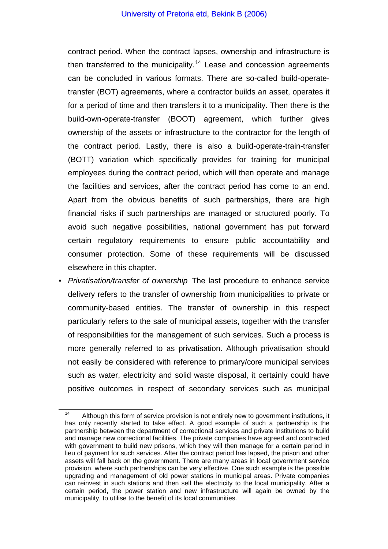contract period. When the contract lapses, ownership and infrastructure is then transferred to the municipality.<sup>[14](#page-7-0)</sup> Lease and concession agreements can be concluded in various formats. There are so-called build-operatetransfer (BOT) agreements, where a contractor builds an asset, operates it for a period of time and then transfers it to a municipality. Then there is the build-own-operate-transfer (BOOT) agreement, which further gives ownership of the assets or infrastructure to the contractor for the length of the contract period. Lastly, there is also a build-operate-train-transfer (BOTT) variation which specifically provides for training for municipal employees during the contract period, which will then operate and manage the facilities and services, after the contract period has come to an end. Apart from the obvious benefits of such partnerships, there are high financial risks if such partnerships are managed or structured poorly. To avoid such negative possibilities, national government has put forward certain regulatory requirements to ensure public accountability and consumer protection. Some of these requirements will be discussed elsewhere in this chapter.

• *Privatisation/transfer of ownership* The last procedure to enhance service delivery refers to the transfer of ownership from municipalities to private or community-based entities. The transfer of ownership in this respect particularly refers to the sale of municipal assets, together with the transfer of responsibilities for the management of such services. Such a process is more generally referred to as privatisation. Although privatisation should not easily be considered with reference to primary/core municipal services such as water, electricity and solid waste disposal, it certainly could have positive outcomes in respect of secondary services such as municipal

<span id="page-7-0"></span><sup>&</sup>lt;sup>14</sup> Although this form of service provision is not entirely new to government institutions, it has only recently started to take effect. A good example of such a partnership is the partnership between the department of correctional services and private institutions to build and manage new correctional facilities. The private companies have agreed and contracted with government to build new prisons, which they will then manage for a certain period in lieu of payment for such services. After the contract period has lapsed, the prison and other assets will fall back on the government. There are many areas in local government service provision, where such partnerships can be very effective. One such example is the possible upgrading and management of old power stations in municipal areas. Private companies can reinvest in such stations and then sell the electricity to the local municipality. After a certain period, the power station and new infrastructure will again be owned by the municipality, to utilise to the benefit of its local communities.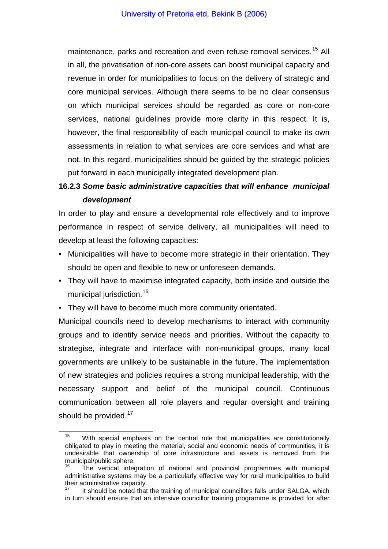maintenance, parks and recreation and even refuse removal services.<sup>[15](#page-8-0)</sup> All in all, the privatisation of non-core assets can boost municipal capacity and revenue in order for municipalities to focus on the delivery of strategic and core municipal services. Although there seems to be no clear consensus on which municipal services should be regarded as core or non-core services, national guidelines provide more clarity in this respect. It is, however, the final responsibility of each municipal council to make its own assessments in relation to what services are core services and what are not. In this regard, municipalities should be guided by the strategic policies put forward in each municipally integrated development plan.

# **16.2.3** *Some basic administrative capacities that will enhance municipal development*

In order to play and ensure a developmental role effectively and to improve performance in respect of service delivery, all municipalities will need to develop at least the following capacities:

- Municipalities will have to become more strategic in their orientation. They should be open and flexible to new or unforeseen demands.
- They will have to maximise integrated capacity, both inside and outside the municipal jurisdiction.<sup>[16](#page-8-1)</sup>
- They will have to become much more community orientated.

Municipal councils need to develop mechanisms to interact with community groups and to identify service needs and priorities. Without the capacity to strategise, integrate and interface with non-municipal groups, many local governments are unlikely to be sustainable in the future. The implementation of new strategies and policies requires a strong municipal leadership, with the necessary support and belief of the municipal council. Continuous communication between all role players and regular oversight and training should be provided.<sup>[17](#page-8-2)</sup>

<span id="page-8-0"></span>With special emphasis on the central role that municipalities are constitutionally obligated to play in meeting the material, social and economic needs of communities, it is undesirable that ownership of core infrastructure and assets is removed from the municipal/public sphere.

<span id="page-8-1"></span><sup>16</sup> The vertical integration of national and provincial programmes with municipal administrative systems may be a particularly effective way for rural municipalities to build their administrative capacity.

<span id="page-8-2"></span>It should be noted that the training of municipal councillors falls under SALGA, which in turn should ensure that an intensive councillor training programme is provided for after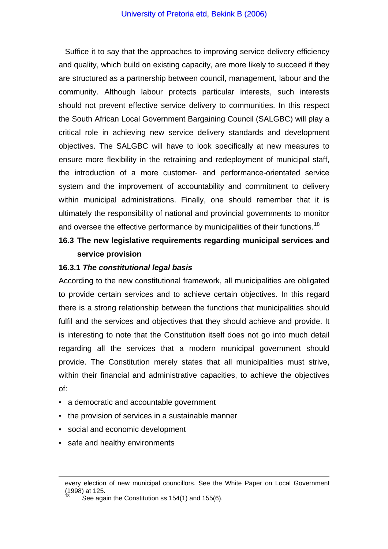Suffice it to say that the approaches to improving service delivery efficiency and quality, which build on existing capacity, are more likely to succeed if they are structured as a partnership between council, management, labour and the community. Although labour protects particular interests, such interests should not prevent effective service delivery to communities. In this respect the South African Local Government Bargaining Council (SALGBC) will play a critical role in achieving new service delivery standards and development objectives. The SALGBC will have to look specifically at new measures to ensure more flexibility in the retraining and redeployment of municipal staff, the introduction of a more customer- and performance-orientated service system and the improvement of accountability and commitment to delivery within municipal administrations. Finally, one should remember that it is ultimately the responsibility of national and provincial governments to monitor and oversee the effective performance by municipalities of their functions.<sup>[18](#page-9-0)</sup>

# **16.3 The new legislative requirements regarding municipal services and service provision**

#### **16.3.1** *The constitutional legal basis*

According to the new constitutional framework, all municipalities are obligated to provide certain services and to achieve certain objectives. In this regard there is a strong relationship between the functions that municipalities should fulfil and the services and objectives that they should achieve and provide. It is interesting to note that the Constitution itself does not go into much detail regarding all the services that a modern municipal government should provide. The Constitution merely states that all municipalities must strive, within their financial and administrative capacities, to achieve the objectives of:

- a democratic and accountable government
- the provision of services in a sustainable manner
- social and economic development
- safe and healthy environments

<span id="page-9-0"></span> $\overline{a}$ 

every election of new municipal councillors. See the White Paper on Local Government  $(1998)$  at 125.

See again the Constitution ss 154(1) and 155(6).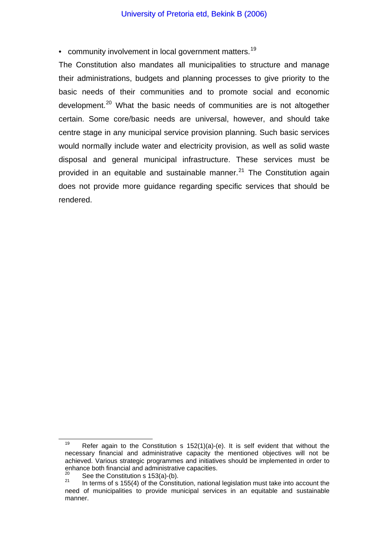• community involvement in local government matters.<sup>[19](#page-10-0)</sup>

The Constitution also mandates all municipalities to structure and manage their administrations, budgets and planning processes to give priority to the basic needs of their communities and to promote social and economic development.<sup>[20](#page-10-1)</sup> What the basic needs of communities are is not altogether certain. Some core/basic needs are universal, however, and should take centre stage in any municipal service provision planning. Such basic services would normally include water and electricity provision, as well as solid waste disposal and general municipal infrastructure. These services must be provided in an equitable and sustainable manner.<sup>[21](#page-10-2)</sup> The Constitution again does not provide more guidance regarding specific services that should be rendered.

<span id="page-10-0"></span><sup>&</sup>lt;sup>19</sup> Refer again to the Constitution s  $152(1)(a)-(e)$ . It is self evident that without the necessary financial and administrative capacity the mentioned objectives will not be achieved. Various strategic programmes and initiatives should be implemented in order to enhance both financial and administrative capacities.

<span id="page-10-2"></span><span id="page-10-1"></span><sup>&</sup>lt;sup>20</sup> See the Constitution s 153(a)-(b).<br><sup>21</sup> In terms of s 155(4) of the Constitution, national legislation must take into account the need of municipalities to provide municipal services in an equitable and sustainable manner.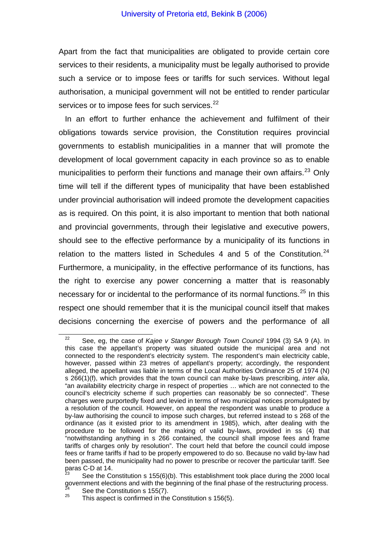Apart from the fact that municipalities are obligated to provide certain core services to their residents, a municipality must be legally authorised to provide such a service or to impose fees or tariffs for such services. Without legal authorisation, a municipal government will not be entitled to render particular services or to impose fees for such services.<sup>[22](#page-11-0)</sup>

In an effort to further enhance the achievement and fulfilment of their obligations towards service provision, the Constitution requires provincial governments to establish municipalities in a manner that will promote the development of local government capacity in each province so as to enable municipalities to perform their functions and manage their own affairs.<sup>[23](#page-11-1)</sup> Only time will tell if the different types of municipality that have been established under provincial authorisation will indeed promote the development capacities as is required. On this point, it is also important to mention that both national and provincial governments, through their legislative and executive powers, should see to the effective performance by a municipality of its functions in relation to the matters listed in Schedules 4 and 5 of the Constitution.<sup>[24](#page-11-2)</sup> Furthermore, a municipality, in the effective performance of its functions, has the right to exercise any power concerning a matter that is reasonably necessary for or incidental to the performance of its normal functions.<sup>[25](#page-11-3)</sup> In this respect one should remember that it is the municipal council itself that makes decisions concerning the exercise of powers and the performance of all

<span id="page-11-0"></span>22 See, eg, the case of *Kajee v Stanger Borough Town Council* 1994 (3) SA 9 (A). In this case the appellant's property was situated outside the municipal area and not connected to the respondent's electricity system. The respondent's main electricity cable, however, passed within 23 metres of appellant's property; accordingly, the respondent alleged, the appellant was liable in terms of the Local Authorities Ordinance 25 of 1974 (N) s 266(1)(f), which provides that the town council can make by-laws prescribing, *inter alia*, "an availability electricity charge in respect of properties … which are not connected to the council's electricity scheme if such properties can reasonably be so connected". These charges were purportedly fixed and levied in terms of two municipal notices promulgated by a resolution of the council. However, on appeal the respondent was unable to produce a by-law authorising the council to impose such charges, but referred instead to s 268 of the ordinance (as it existed prior to its amendment in 1985), which, after dealing with the procedure to be followed for the making of valid by-laws, provided in ss (4) that "notwithstanding anything in s 266 contained, the council shall impose fees and frame tariffs of charges only by resolution". The court held that before the council could impose fees or frame tariffs if had to be properly empowered to do so. Because no valid by-law had been passed, the municipality had no power to prescribe or recover the particular tariff. See paras C-D at 14.

<span id="page-11-1"></span>See the Constitution s 155(6)(b). This establishment took place during the 2000 local government elections and with the beginning of the final phase of the restructuring process.<br>
<sup>24</sup> See the Constitution s 155(7).<br>
<sup>25</sup> This aspect is confirmed in the Constitution s 156(5).

<span id="page-11-3"></span><span id="page-11-2"></span>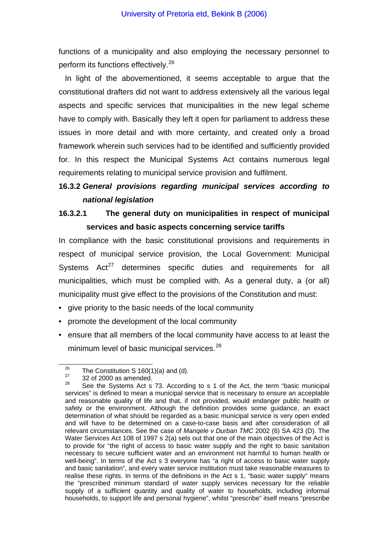functions of a municipality and also employing the necessary personnel to perform its functions effectively.<sup>[26](#page-12-0)</sup>

In light of the abovementioned, it seems acceptable to argue that the constitutional drafters did not want to address extensively all the various legal aspects and specific services that municipalities in the new legal scheme have to comply with. Basically they left it open for parliament to address these issues in more detail and with more certainty, and created only a broad framework wherein such services had to be identified and sufficiently provided for. In this respect the Municipal Systems Act contains numerous legal requirements relating to municipal service provision and fulfilment.

# **16.3.2** *General provisions regarding municipal services according to national legislation*

# **16.3.2.1 The general duty on municipalities in respect of municipal services and basic aspects concerning service tariffs**

In compliance with the basic constitutional provisions and requirements in respect of municipal service provision, the Local Government: Municipal Systems  $Act^{27}$  $Act^{27}$  $Act^{27}$  determines specific duties and requirements for all municipalities, which must be complied with. As a general duty, a (or all) municipality must give effect to the provisions of the Constitution and must:

- give priority to the basic needs of the local community
- promote the development of the local community
- ensure that all members of the local community have access to at least the minimum level of basic municipal services.<sup>[28](#page-12-2)</sup>

<span id="page-12-0"></span><sup>&</sup>lt;sup>26</sup> The Constitution S 160(1)(a) and (d).<br><sup>27</sup> 32 of 2000 as amended.

<span id="page-12-2"></span><span id="page-12-1"></span>See the Systems Act s 73. According to s 1 of the Act, the term "basic municipal services" is defined to mean a municipal service that is necessary to ensure an acceptable and reasonable quality of life and that, if not provided, would endanger public health or safety or the environment. Although the definition provides some guidance, an exact determination of what should be regarded as a basic municipal service is very open ended and will have to be determined on a case-to-case basis and after consideration of all relevant circumstances. See the case of *Manqele v Durban TMC* 2002 (6) SA 423 (D). The Water Services Act 108 of 1997 s 2(a) sets out that one of the main objectives of the Act is to provide for "the right of access to basic water supply and the right to basic sanitation necessary to secure sufficient water and an environment not harmful to human health or well-being". In terms of the Act s 3 everyone has "a right of access to basic water supply and basic sanitation", and every water service institution must take reasonable measures to realise these rights. In terms of the definitions in the Act s 1, "basic water supply" means the "prescribed minimum standard of water supply services necessary for the reliable supply of a sufficient quantity and quality of water to households, including informal households, to support life and personal hygiene", whilst "prescribe" itself means "prescribe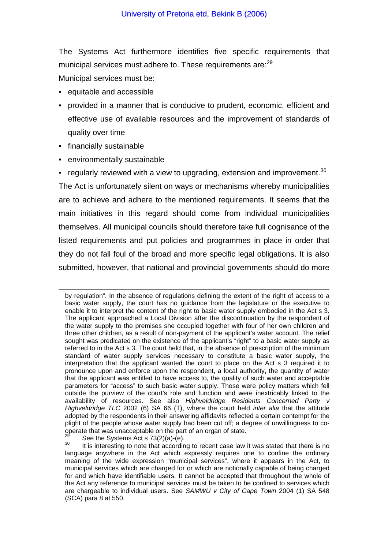The Systems Act furthermore identifies five specific requirements that municipal services must adhere to. These requirements are:<sup>[29](#page-13-0)</sup>

Municipal services must be:

- equitable and accessible
- provided in a manner that is conducive to prudent, economic, efficient and effective use of available resources and the improvement of standards of quality over time
- financially sustainable

 $\overline{a}$ 

• environmentally sustainable

• regularly reviewed with a view to upgrading, extension and improvement.  $30$ The Act is unfortunately silent on ways or mechanisms whereby municipalities are to achieve and adhere to the mentioned requirements. It seems that the main initiatives in this regard should come from individual municipalities themselves. All municipal councils should therefore take full cognisance of the listed requirements and put policies and programmes in place in order that they do not fall foul of the broad and more specific legal obligations. It is also submitted, however, that national and provincial governments should do more

by regulation". In the absence of regulations defining the extent of the right of access to a basic water supply, the court has no guidance from the legislature or the executive to enable it to interpret the content of the right to basic water supply embodied in the Act s 3. The applicant approached a Local Division after the discontinuation by the respondent of the water supply to the premises she occupied together with four of her own children and three other children, as a result of non-payment of the applicant's water account. The relief sought was predicated on the existence of the applicant's "right" to a basic water supply as referred to in the Act s 3. The court held that, in the absence of prescription of the minimum standard of water supply services necessary to constitute a basic water supply, the interpretation that the applicant wanted the court to place on the Act s 3 required it to pronounce upon and enforce upon the respondent, a local authority, the quantity of water that the applicant was entitled to have access to, the quality of such water and acceptable parameters for "access" to such basic water supply. Those were policy matters which fell outside the purview of the court's role and function and were inextricably linked to the availability of resources. See also *Highveldridge Residents Concerned Party v Highveldridge TLC* 2002 (6) SA 66 (T), where the court held *inter alia* that the attitude adopted by the respondents in their answering affidavits reflected a certain contempt for the plight of the people whose water supply had been cut off; a degree of unwillingness to co-<br>operate that was unacceptable on the part of an organ of state.

<span id="page-13-1"></span><span id="page-13-0"></span><sup>&</sup>lt;sup>29</sup> See the Systems Act s 73(2)(a)-(e).<br><sup>30</sup> It is interesting to note that according to recent case law it was stated that there is no language anywhere in the Act which expressly requires one to confine the ordinary meaning of the wide expression "municipal services", where it appears in the Act, to municipal services which are charged for or which are notionally capable of being charged for and which have identifiable users. It cannot be accepted that throughout the whole of the Act any reference to municipal services must be taken to be confined to services which are chargeable to individual users. See *SAMWU v City of Cape Town* 2004 (1) SA 548 (SCA) para 8 at 550.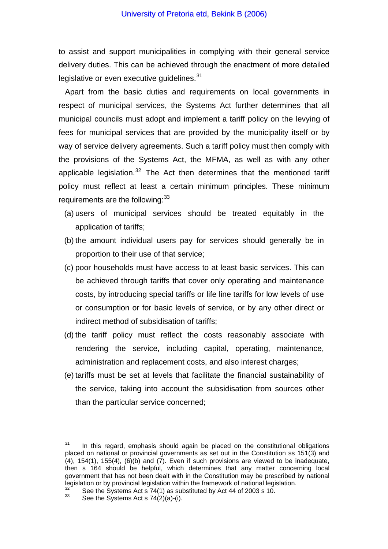to assist and support municipalities in complying with their general service delivery duties. This can be achieved through the enactment of more detailed legislative or even executive quidelines.<sup>[31](#page-14-0)</sup>

Apart from the basic duties and requirements on local governments in respect of municipal services, the Systems Act further determines that all municipal councils must adopt and implement a tariff policy on the levying of fees for municipal services that are provided by the municipality itself or by way of service delivery agreements. Such a tariff policy must then comply with the provisions of the Systems Act, the MFMA, as well as with any other applicable legislation.<sup>[32](#page-14-1)</sup> The Act then determines that the mentioned tariff policy must reflect at least a certain minimum principles. These minimum requirements are the following:  $33$ 

- (a) users of municipal services should be treated equitably in the application of tariffs;
- (b) the amount individual users pay for services should generally be in proportion to their use of that service;
- (c) poor households must have access to at least basic services. This can be achieved through tariffs that cover only operating and maintenance costs, by introducing special tariffs or life line tariffs for low levels of use or consumption or for basic levels of service, or by any other direct or indirect method of subsidisation of tariffs;
- (d) the tariff policy must reflect the costs reasonably associate with rendering the service, including capital, operating, maintenance, administration and replacement costs, and also interest charges;
- (e) tariffs must be set at levels that facilitate the financial sustainability of the service, taking into account the subsidisation from sources other than the particular service concerned;

<span id="page-14-0"></span> $31$  In this regard, emphasis should again be placed on the constitutional obligations placed on national or provincial governments as set out in the Constitution ss 151(3) and  $(4)$ , 154(1), 155(4),  $(6)(b)$  and  $(7)$ . Even if such provisions are viewed to be inadequate, then s 164 should be helpful, which determines that any matter concerning local government that has not been dealt with in the Constitution may be prescribed by national legislation or by provincial legislation within the framework of national legislation.

<span id="page-14-2"></span><span id="page-14-1"></span><sup>&</sup>lt;sup>32</sup> See the Systems Act s 74(1) as substituted by Act 44 of 2003 s 10.<br><sup>33</sup> See the Systems Act s 74(2)(a)-(i).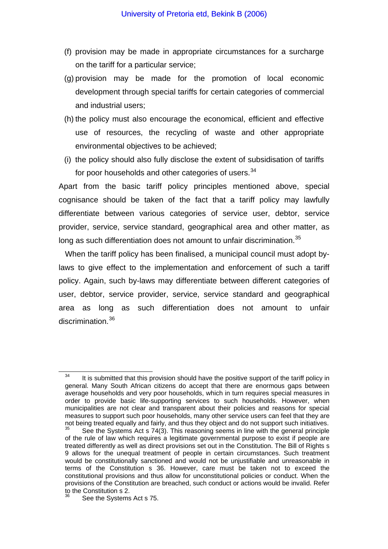- (f) provision may be made in appropriate circumstances for a surcharge on the tariff for a particular service;
- (g) provision may be made for the promotion of local economic development through special tariffs for certain categories of commercial and industrial users;
- (h) the policy must also encourage the economical, efficient and effective use of resources, the recycling of waste and other appropriate environmental objectives to be achieved;
- (i) the policy should also fully disclose the extent of subsidisation of tariffs for poor households and other categories of users.<sup>[34](#page-15-0)</sup>

Apart from the basic tariff policy principles mentioned above, special cognisance should be taken of the fact that a tariff policy may lawfully differentiate between various categories of service user, debtor, service provider, service, service standard, geographical area and other matter, as long as such differentiation does not amount to unfair discrimination.<sup>[35](#page-15-1)</sup>

When the tariff policy has been finalised, a municipal council must adopt bylaws to give effect to the implementation and enforcement of such a tariff policy. Again, such by-laws may differentiate between different categories of user, debtor, service provider, service, service standard and geographical area as long as such differentiation does not amount to unfair discrimination.<sup>[36](#page-15-2)</sup>

<span id="page-15-0"></span> $34$  It is submitted that this provision should have the positive support of the tariff policy in general. Many South African citizens do accept that there are enormous gaps between average households and very poor households, which in turn requires special measures in order to provide basic life-supporting services to such households. However, when municipalities are not clear and transparent about their policies and reasons for special measures to support such poor households, many other service users can feel that they are not being treated equally and fairly, and thus they object and do not support such initiatives.<br><sup>35</sup> See the Systems Act s 74(3). This reasoning seems in line with the general principle

<span id="page-15-1"></span>of the rule of law which requires a legitimate governmental purpose to exist if people are treated differently as well as direct provisions set out in the Constitution. The Bill of Rights s 9 allows for the unequal treatment of people in certain circumstances. Such treatment would be constitutionally sanctioned and would not be unjustifiable and unreasonable in terms of the Constitution s 36. However, care must be taken not to exceed the constitutional provisions and thus allow for unconstitutional policies or conduct. When the provisions of the Constitution are breached, such conduct or actions would be invalid. Refer to the Constitution s 2.

<span id="page-15-2"></span>See the Systems Act s 75.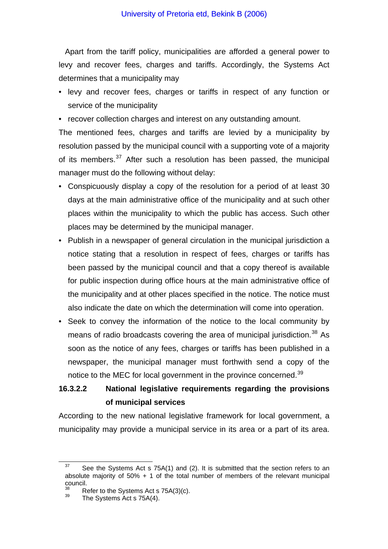Apart from the tariff policy, municipalities are afforded a general power to levy and recover fees, charges and tariffs. Accordingly, the Systems Act determines that a municipality may

- levy and recover fees, charges or tariffs in respect of any function or service of the municipality
- recover collection charges and interest on any outstanding amount.

The mentioned fees, charges and tariffs are levied by a municipality by resolution passed by the municipal council with a supporting vote of a majority of its members.<sup>[37](#page-16-0)</sup> After such a resolution has been passed, the municipal manager must do the following without delay:

- Conspicuously display a copy of the resolution for a period of at least 30 days at the main administrative office of the municipality and at such other places within the municipality to which the public has access. Such other places may be determined by the municipal manager.
- Publish in a newspaper of general circulation in the municipal jurisdiction a notice stating that a resolution in respect of fees, charges or tariffs has been passed by the municipal council and that a copy thereof is available for public inspection during office hours at the main administrative office of the municipality and at other places specified in the notice. The notice must also indicate the date on which the determination will come into operation.
- Seek to convey the information of the notice to the local community by means of radio broadcasts covering the area of municipal jurisdiction.<sup>[38](#page-16-1)</sup> As soon as the notice of any fees, charges or tariffs has been published in a newspaper, the municipal manager must forthwith send a copy of the notice to the MEC for local government in the province concerned.<sup>[39](#page-16-2)</sup>

# **16.3.2.2 National legislative requirements regarding the provisions of municipal services**

According to the new national legislative framework for local government, a municipality may provide a municipal service in its area or a part of its area.

<span id="page-16-0"></span> $37$  See the Systems Act s 75A(1) and (2). It is submitted that the section refers to an absolute majority of  $50\% + 1$  of the total number of members of the relevant municipal council.

<span id="page-16-2"></span><span id="page-16-1"></span><sup>&</sup>lt;sup>38</sup> Refer to the Systems Act s  $75A(3)(c)$ .<br><sup>39</sup> The Systems Act s  $75A(4)$ .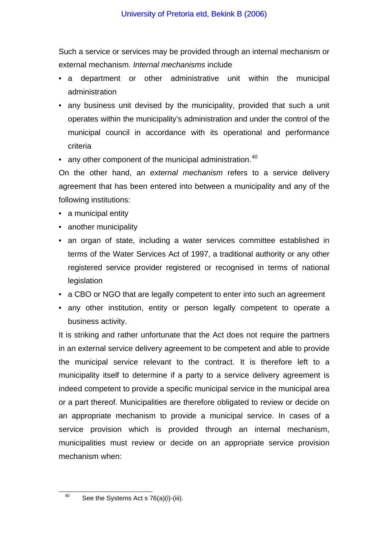Such a service or services may be provided through an internal mechanism or external mechanism. *Internal mechanisms* include

- a department or other administrative unit within the municipal administration
- any business unit devised by the municipality, provided that such a unit operates within the municipality's administration and under the control of the municipal council in accordance with its operational and performance criteria
- any other component of the municipal administration. $40$

On the other hand, an *external mechanism* refers to a service delivery agreement that has been entered into between a municipality and any of the following institutions:

- a municipal entity
- another municipality
- an organ of state, including a water services committee established in terms of the Water Services Act of 1997, a traditional authority or any other registered service provider registered or recognised in terms of national legislation
- a CBO or NGO that are legally competent to enter into such an agreement
- any other institution, entity or person legally competent to operate a business activity.

It is striking and rather unfortunate that the Act does not require the partners in an external service delivery agreement to be competent and able to provide the municipal service relevant to the contract. It is therefore left to a municipality itself to determine if a party to a service delivery agreement is indeed competent to provide a specific municipal service in the municipal area or a part thereof. Municipalities are therefore obligated to review or decide on an appropriate mechanism to provide a municipal service. In cases of a service provision which is provided through an internal mechanism, municipalities must review or decide on an appropriate service provision mechanism when:

<span id="page-17-0"></span><sup>40</sup> See the Systems Act s  $76(a)(i)$ -(iii).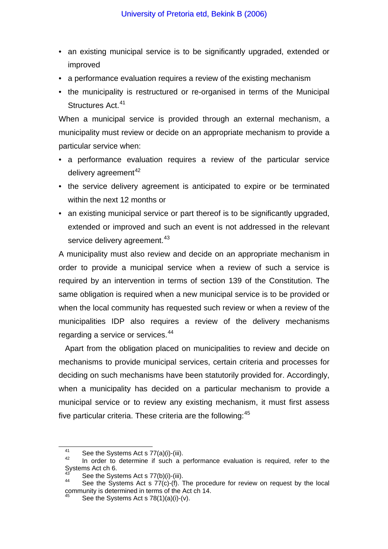- an existing municipal service is to be significantly upgraded, extended or improved
- a performance evaluation requires a review of the existing mechanism
- the municipality is restructured or re-organised in terms of the Municipal Structures Act.<sup>[41](#page-18-0)</sup>

When a municipal service is provided through an external mechanism, a municipality must review or decide on an appropriate mechanism to provide a particular service when:

- a performance evaluation requires a review of the particular service delivery agreement<sup>[42](#page-18-1)</sup>
- the service delivery agreement is anticipated to expire or be terminated within the next 12 months or
- an existing municipal service or part thereof is to be significantly upgraded, extended or improved and such an event is not addressed in the relevant service delivery agreement.<sup>[43](#page-18-2)</sup>

A municipality must also review and decide on an appropriate mechanism in order to provide a municipal service when a review of such a service is required by an intervention in terms of section 139 of the Constitution. The same obligation is required when a new municipal service is to be provided or when the local community has requested such review or when a review of the municipalities IDP also requires a review of the delivery mechanisms regarding a service or services.<sup>[44](#page-18-3)</sup>

Apart from the obligation placed on municipalities to review and decide on mechanisms to provide municipal services, certain criteria and processes for deciding on such mechanisms have been statutorily provided for. Accordingly, when a municipality has decided on a particular mechanism to provide a municipal service or to review any existing mechanism, it must first assess five particular criteria. These criteria are the following:<sup>[45](#page-18-4)</sup>

<span id="page-18-1"></span><span id="page-18-0"></span><sup>&</sup>lt;sup>41</sup> See the Systems Act s 77(a)(i)-(iii).<br><sup>42</sup> In order to determine if such a performance evaluation is required, refer to the Systems Act ch  $6.$ 

<span id="page-18-4"></span><span id="page-18-3"></span><span id="page-18-2"></span><sup>&</sup>lt;sup>43</sup> See the Systems Act s 77(b)(i)-(iii).<br><sup>44</sup> See the Systems Act s 77(c)-(f). The procedure for review on request by the local community is determined in terms of the Act ch 14.

See the Systems Act s 78(1)(a)(i)-(v).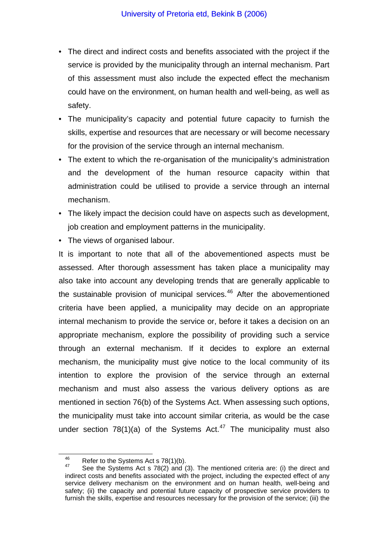- The direct and indirect costs and benefits associated with the project if the service is provided by the municipality through an internal mechanism. Part of this assessment must also include the expected effect the mechanism could have on the environment, on human health and well-being, as well as safety.
- The municipality's capacity and potential future capacity to furnish the skills, expertise and resources that are necessary or will become necessary for the provision of the service through an internal mechanism.
- The extent to which the re-organisation of the municipality's administration and the development of the human resource capacity within that administration could be utilised to provide a service through an internal mechanism.
- The likely impact the decision could have on aspects such as development, job creation and employment patterns in the municipality.
- The views of organised labour.

It is important to note that all of the abovementioned aspects must be assessed. After thorough assessment has taken place a municipality may also take into account any developing trends that are generally applicable to the sustainable provision of municipal services.<sup>[46](#page-19-0)</sup> After the abovementioned criteria have been applied, a municipality may decide on an appropriate internal mechanism to provide the service or, before it takes a decision on an appropriate mechanism, explore the possibility of providing such a service through an external mechanism. If it decides to explore an external mechanism, the municipality must give notice to the local community of its intention to explore the provision of the service through an external mechanism and must also assess the various delivery options as are mentioned in section 76(b) of the Systems Act. When assessing such options, the municipality must take into account similar criteria, as would be the case under section  $78(1)(a)$  of the Systems Act.<sup>[47](#page-19-1)</sup> The municipality must also

<span id="page-19-1"></span><span id="page-19-0"></span>

<sup>&</sup>lt;sup>46</sup> Refer to the Systems Act s 78(1)(b).<br><sup>47</sup> See the Systems Act s 78(2) and (3). The mentioned criteria are: (i) the direct and indirect costs and benefits associated with the project, including the expected effect of any service delivery mechanism on the environment and on human health, well-being and safety; (ii) the capacity and potential future capacity of prospective service providers to furnish the skills, expertise and resources necessary for the provision of the service; (iii) the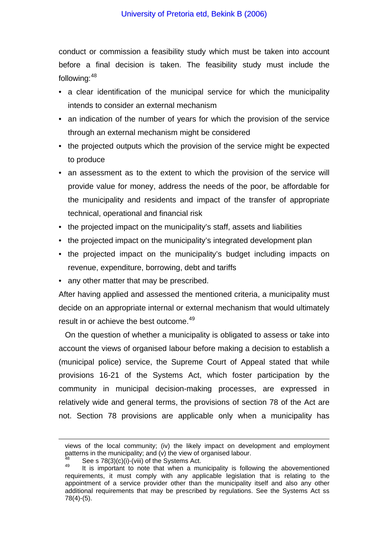conduct or commission a feasibility study which must be taken into account before a final decision is taken. The feasibility study must include the following:[48](#page-20-0)

- a clear identification of the municipal service for which the municipality intends to consider an external mechanism
- an indication of the number of years for which the provision of the service through an external mechanism might be considered
- the projected outputs which the provision of the service might be expected to produce
- an assessment as to the extent to which the provision of the service will provide value for money, address the needs of the poor, be affordable for the municipality and residents and impact of the transfer of appropriate technical, operational and financial risk
- the projected impact on the municipality's staff, assets and liabilities
- the projected impact on the municipality's integrated development plan
- the projected impact on the municipality's budget including impacts on revenue, expenditure, borrowing, debt and tariffs
- any other matter that may be prescribed.

After having applied and assessed the mentioned criteria, a municipality must decide on an appropriate internal or external mechanism that would ultimately result in or achieve the best outcome.<sup>[49](#page-20-1)</sup>

On the question of whether a municipality is obligated to assess or take into account the views of organised labour before making a decision to establish a (municipal police) service, the Supreme Court of Appeal stated that while provisions 16-21 of the Systems Act, which foster participation by the community in municipal decision-making processes, are expressed in relatively wide and general terms, the provisions of section 78 of the Act are not. Section 78 provisions are applicable only when a municipality has

<span id="page-20-0"></span> $\overline{a}$ 

views of the local community; (iv) the likely impact on development and employment patterns in the municipality; and (v) the view of organised labour.

<span id="page-20-1"></span><sup>&</sup>lt;sup>48</sup> See s 78(3)(c)(i)-(viii) of the Systems Act.  $\frac{49}{49}$  It is important to note that when a municipality is following the abovementioned requirements, it must comply with any applicable legislation that is relating to the appointment of a service provider other than the municipality itself and also any other additional requirements that may be prescribed by regulations. See the Systems Act ss 78(4)-(5).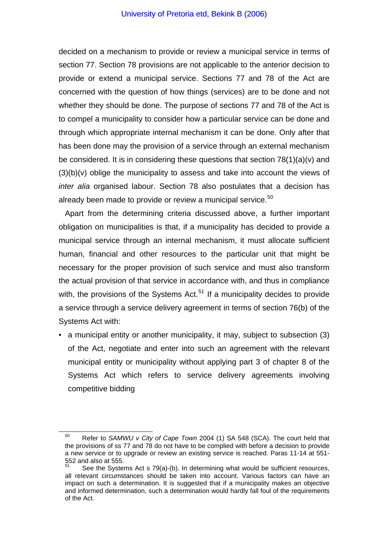decided on a mechanism to provide or review a municipal service in terms of section 77. Section 78 provisions are not applicable to the anterior decision to provide or extend a municipal service. Sections 77 and 78 of the Act are concerned with the question of how things (services) are to be done and not whether they should be done. The purpose of sections 77 and 78 of the Act is to compel a municipality to consider how a particular service can be done and through which appropriate internal mechanism it can be done. Only after that has been done may the provision of a service through an external mechanism be considered. It is in considering these questions that section 78(1)(a)(v) and (3)(b)(v) oblige the municipality to assess and take into account the views of *inter alia* organised labour. Section 78 also postulates that a decision has already been made to provide or review a municipal service.<sup>[50](#page-21-0)</sup>

Apart from the determining criteria discussed above, a further important obligation on municipalities is that, if a municipality has decided to provide a municipal service through an internal mechanism, it must allocate sufficient human, financial and other resources to the particular unit that might be necessary for the proper provision of such service and must also transform the actual provision of that service in accordance with, and thus in compliance with, the provisions of the Systems Act.<sup>[51](#page-21-1)</sup> If a municipality decides to provide a service through a service delivery agreement in terms of section 76(b) of the Systems Act with:

• a municipal entity or another municipality, it may, subject to subsection (3) of the Act, negotiate and enter into such an agreement with the relevant municipal entity or municipality without applying part 3 of chapter 8 of the Systems Act which refers to service delivery agreements involving competitive bidding

<span id="page-21-0"></span>50 Refer to *SAMWU v City of Cape Town* 2004 (1) SA 548 (SCA). The court held that the provisions of ss 77 and 78 do not have to be complied with before a decision to provide a new service or to upgrade or review an existing service is reached. Paras 11-14 at 551- 552 and also at 555.

<span id="page-21-1"></span>See the Systems Act s 79(a)-(b). In determining what would be sufficient resources, all relevant circumstances should be taken into account. Various factors can have an impact on such a determination. It is suggested that if a municipality makes an objective and informed determination, such a determination would hardly fall foul of the requirements of the Act.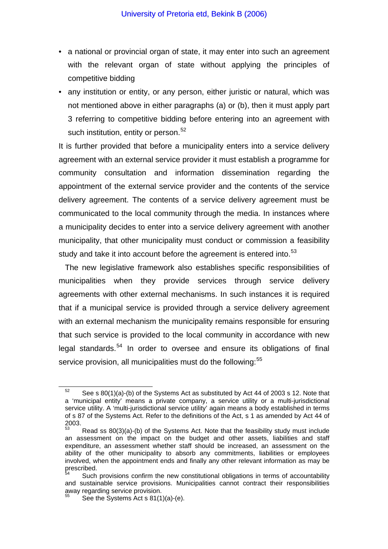- a national or provincial organ of state, it may enter into such an agreement with the relevant organ of state without applying the principles of competitive bidding
- any institution or entity, or any person, either juristic or natural, which was not mentioned above in either paragraphs (a) or (b), then it must apply part 3 referring to competitive bidding before entering into an agreement with such institution, entity or person.<sup>[52](#page-22-0)</sup>

It is further provided that before a municipality enters into a service delivery agreement with an external service provider it must establish a programme for community consultation and information dissemination regarding the appointment of the external service provider and the contents of the service delivery agreement. The contents of a service delivery agreement must be communicated to the local community through the media. In instances where a municipality decides to enter into a service delivery agreement with another municipality, that other municipality must conduct or commission a feasibility study and take it into account before the agreement is entered into.<sup>[53](#page-22-1)</sup>

The new legislative framework also establishes specific responsibilities of municipalities when they provide services through service delivery agreements with other external mechanisms. In such instances it is required that if a municipal service is provided through a service delivery agreement with an external mechanism the municipality remains responsible for ensuring that such service is provided to the local community in accordance with new legal standards.<sup>[54](#page-22-2)</sup> In order to oversee and ensure its obligations of final service provision, all municipalities must do the following:<sup>[55](#page-22-3)</sup>

<span id="page-22-0"></span> $52$  See s 80(1)(a)-(b) of the Systems Act as substituted by Act 44 of 2003 s 12. Note that a 'municipal entity' means a private company, a service utility or a multi-jurisdictional service utility. A 'multi-jurisdictional service utility' again means a body established in terms of s 87 of the Systems Act. Refer to the definitions of the Act, s 1 as amended by Act 44 of 2003.

<span id="page-22-1"></span><sup>53</sup> Read ss 80(3)(a)-(b) of the Systems Act. Note that the feasibility study must include an assessment on the impact on the budget and other assets, liabilities and staff expenditure, an assessment whether staff should be increased, an assessment on the ability of the other municipality to absorb any commitments, liabilities or employees involved, when the appointment ends and finally any other relevant information as may be  $\sum_{k=1}^{\infty}$ 

<span id="page-22-3"></span><span id="page-22-2"></span>Such provisions confirm the new constitutional obligations in terms of accountability and sustainable service provisions. Municipalities cannot contract their responsibilities away regarding service provision.

See the Systems Act s  $81(1)(a)-(e)$ .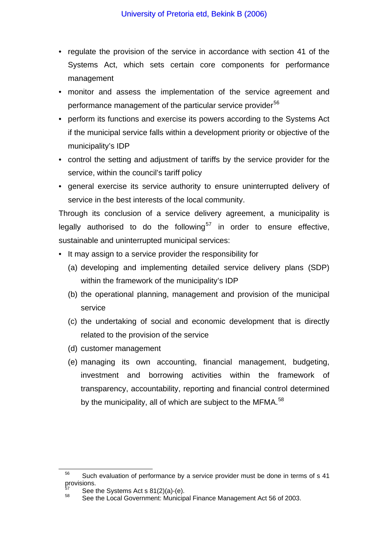- regulate the provision of the service in accordance with section 41 of the Systems Act, which sets certain core components for performance management
- monitor and assess the implementation of the service agreement and performance management of the particular service provider<sup>[56](#page-23-0)</sup>
- perform its functions and exercise its powers according to the Systems Act if the municipal service falls within a development priority or objective of the municipality's IDP
- control the setting and adjustment of tariffs by the service provider for the service, within the council's tariff policy
- general exercise its service authority to ensure uninterrupted delivery of service in the best interests of the local community.

Through its conclusion of a service delivery agreement, a municipality is legally authorised to do the following<sup>[57](#page-23-1)</sup> in order to ensure effective, sustainable and uninterrupted municipal services:

- It may assign to a service provider the responsibility for
	- (a) developing and implementing detailed service delivery plans (SDP) within the framework of the municipality's IDP
	- (b) the operational planning, management and provision of the municipal service
	- (c) the undertaking of social and economic development that is directly related to the provision of the service
	- (d) customer management
	- (e) managing its own accounting, financial management, budgeting, investment and borrowing activities within the framework of transparency, accountability, reporting and financial control determined by the municipality, all of which are subject to the MFMA.<sup>[58](#page-23-2)</sup>

<span id="page-23-0"></span> $56$  Such evaluation of performance by a service provider must be done in terms of s 41 provisions.

<span id="page-23-2"></span><span id="page-23-1"></span>

 $57$  See the Systems Act s 81(2)(a)-(e).<br> $58$  See the Local Government: Municipal Finance Management Act 56 of 2003.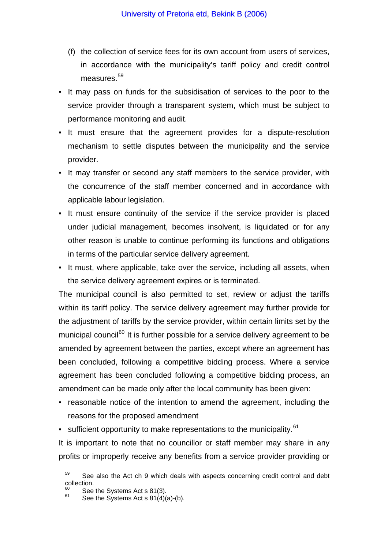- (f) the collection of service fees for its own account from users of services, in accordance with the municipality's tariff policy and credit control measures.<sup>[59](#page-24-0)</sup>
- It may pass on funds for the subsidisation of services to the poor to the service provider through a transparent system, which must be subject to performance monitoring and audit.
- It must ensure that the agreement provides for a dispute-resolution mechanism to settle disputes between the municipality and the service provider.
- It may transfer or second any staff members to the service provider, with the concurrence of the staff member concerned and in accordance with applicable labour legislation.
- It must ensure continuity of the service if the service provider is placed under judicial management, becomes insolvent, is liquidated or for any other reason is unable to continue performing its functions and obligations in terms of the particular service delivery agreement.
- It must, where applicable, take over the service, including all assets, when the service delivery agreement expires or is terminated.

The municipal council is also permitted to set, review or adjust the tariffs within its tariff policy. The service delivery agreement may further provide for the adjustment of tariffs by the service provider, within certain limits set by the municipal council<sup>[60](#page-24-1)</sup> It is further possible for a service delivery agreement to be amended by agreement between the parties, except where an agreement has been concluded, following a competitive bidding process. Where a service agreement has been concluded following a competitive bidding process, an amendment can be made only after the local community has been given:

- reasonable notice of the intention to amend the agreement, including the reasons for the proposed amendment
- sufficient opportunity to make representations to the municipality.  $61$

It is important to note that no councillor or staff member may share in any profits or improperly receive any benefits from a service provider providing or

<span id="page-24-0"></span> $59$  See also the Act ch 9 which deals with aspects concerning credit control and debt collection.

<span id="page-24-1"></span>See the Systems Act s 81(3).<br>See the Systems Act s 81(4)(a)-(b).

<span id="page-24-2"></span>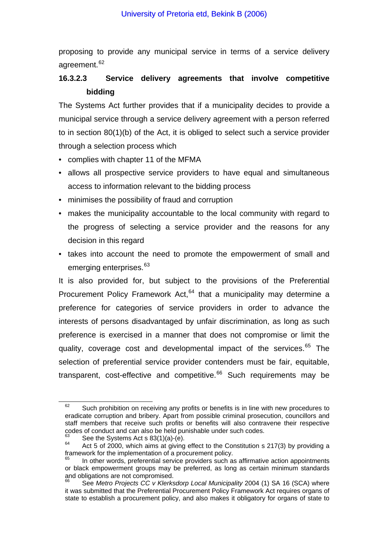proposing to provide any municipal service in terms of a service delivery agreement.<sup>[62](#page-25-0)</sup>

# **16.3.2.3 Service delivery agreements that involve competitive bidding**

The Systems Act further provides that if a municipality decides to provide a municipal service through a service delivery agreement with a person referred to in section 80(1)(b) of the Act, it is obliged to select such a service provider through a selection process which

- complies with chapter 11 of the MFMA
- allows all prospective service providers to have equal and simultaneous access to information relevant to the bidding process
- minimises the possibility of fraud and corruption
- makes the municipality accountable to the local community with regard to the progress of selecting a service provider and the reasons for any decision in this regard
- takes into account the need to promote the empowerment of small and emerging enterprises.<sup>[63](#page-25-1)</sup>

It is also provided for, but subject to the provisions of the Preferential Procurement Policy Framework Act, $64$  that a municipality may determine a preference for categories of service providers in order to advance the interests of persons disadvantaged by unfair discrimination, as long as such preference is exercised in a manner that does not compromise or limit the quality, coverage cost and developmental impact of the services.<sup>[65](#page-25-3)</sup> The selection of preferential service provider contenders must be fair, equitable, transparent, cost-effective and competitive.<sup>[66](#page-25-4)</sup> Such requirements may be

<span id="page-25-0"></span> $62$  Such prohibition on receiving any profits or benefits is in line with new procedures to eradicate corruption and bribery. Apart from possible criminal prosecution, councillors and staff members that receive such profits or benefits will also contravene their respective codes of conduct and can also be held punishable under such codes.<br>
See the Systems Act s  $83(1)(a)-(e)$ .

<span id="page-25-2"></span><span id="page-25-1"></span> $\frac{64}{100}$  Act 5 of 2000, which aims at giving effect to the Constitution s 217(3) by providing a framework for the implementation of a procurement policy.

<span id="page-25-3"></span>In other words, preferential service providers such as affirmative action appointments or black empowerment groups may be preferred, as long as certain minimum standards and obligations are not compromised.

<span id="page-25-4"></span><sup>66</sup> See *Metro Projects CC v Klerksdorp Local Municipality* 2004 (1) SA 16 (SCA) where it was submitted that the Preferential Procurement Policy Framework Act requires organs of state to establish a procurement policy, and also makes it obligatory for organs of state to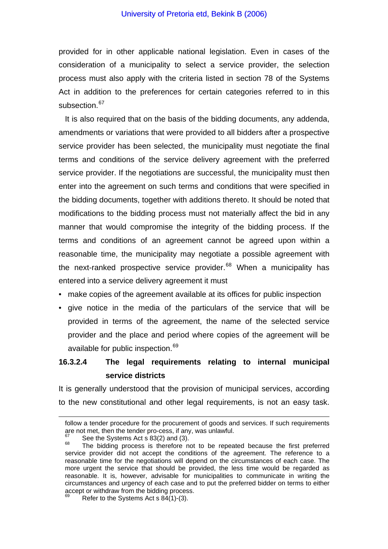#### University of Pretoria etd, Bekink B (2006)

provided for in other applicable national legislation. Even in cases of the consideration of a municipality to select a service provider, the selection process must also apply with the criteria listed in section 78 of the Systems Act in addition to the preferences for certain categories referred to in this subsection.<sup>[67](#page-26-0)</sup>

It is also required that on the basis of the bidding documents, any addenda, amendments or variations that were provided to all bidders after a prospective service provider has been selected, the municipality must negotiate the final terms and conditions of the service delivery agreement with the preferred service provider. If the negotiations are successful, the municipality must then enter into the agreement on such terms and conditions that were specified in the bidding documents, together with additions thereto. It should be noted that modifications to the bidding process must not materially affect the bid in any manner that would compromise the integrity of the bidding process. If the terms and conditions of an agreement cannot be agreed upon within a reasonable time, the municipality may negotiate a possible agreement with the next-ranked prospective service provider. $68$  When a municipality has entered into a service delivery agreement it must

- make copies of the agreement available at its offices for public inspection
- give notice in the media of the particulars of the service that will be provided in terms of the agreement, the name of the selected service provider and the place and period where copies of the agreement will be available for public inspection.<sup>[69](#page-26-2)</sup>

# **16.3.2.4 The legal requirements relating to internal municipal service districts**

It is generally understood that the provision of municipal services, according to the new constitutional and other legal requirements, is not an easy task.

<span id="page-26-0"></span> $\overline{a}$ 

follow a tender procedure for the procurement of goods and services. If such requirements are not met, then the tender pro-cess, if any, was unlawful.<br>  $67$  See the Systems Act s 83(2) and (3).

<span id="page-26-1"></span> $\frac{68}{100}$  The bidding process is therefore not to be repeated because the first preferred service provider did not accept the conditions of the agreement. The reference to a reasonable time for the negotiations will depend on the circumstances of each case. The more urgent the service that should be provided, the less time would be regarded as reasonable. It is, however, advisable for municipalities to communicate in writing the circumstances and urgency of each case and to put the preferred bidder on terms to either accept or withdraw from the bidding process.

<span id="page-26-2"></span>Refer to the Systems Act s  $84(1)$ -(3).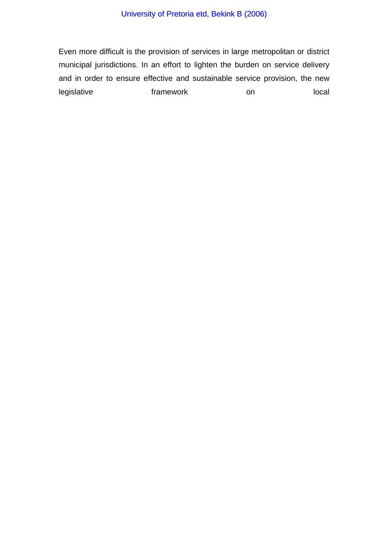Even more difficult is the provision of services in large metropolitan or district municipal jurisdictions. In an effort to lighten the burden on service delivery and in order to ensure effective and sustainable service provision, the new legislative **framework** on local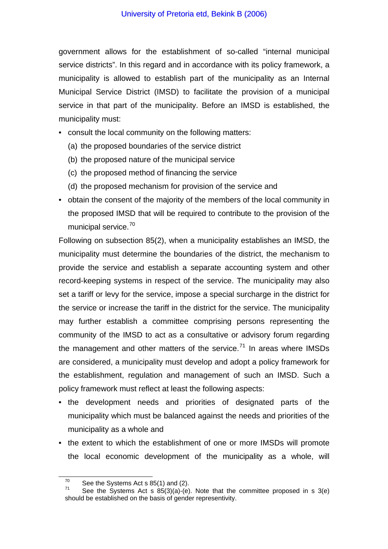government allows for the establishment of so-called "internal municipal service districts". In this regard and in accordance with its policy framework, a municipality is allowed to establish part of the municipality as an Internal Municipal Service District (IMSD) to facilitate the provision of a municipal service in that part of the municipality. Before an IMSD is established, the municipality must:

- consult the local community on the following matters:
	- (a) the proposed boundaries of the service district
	- (b) the proposed nature of the municipal service
	- (c) the proposed method of financing the service
	- (d) the proposed mechanism for provision of the service and
- obtain the consent of the majority of the members of the local community in the proposed IMSD that will be required to contribute to the provision of the municipal service.<sup>[70](#page-28-0)</sup>

Following on subsection 85(2), when a municipality establishes an IMSD, the municipality must determine the boundaries of the district, the mechanism to provide the service and establish a separate accounting system and other record-keeping systems in respect of the service. The municipality may also set a tariff or levy for the service, impose a special surcharge in the district for the service or increase the tariff in the district for the service. The municipality may further establish a committee comprising persons representing the community of the IMSD to act as a consultative or advisory forum regarding the management and other matters of the service.<sup>[71](#page-28-1)</sup> In areas where IMSDs are considered, a municipality must develop and adopt a policy framework for the establishment, regulation and management of such an IMSD. Such a policy framework must reflect at least the following aspects:

- the development needs and priorities of designated parts of the municipality which must be balanced against the needs and priorities of the municipality as a whole and
- the extent to which the establishment of one or more IMSDs will promote the local economic development of the municipality as a whole, will

<span id="page-28-1"></span><span id="page-28-0"></span><sup>&</sup>lt;sup>70</sup> See the Systems Act s 85(1) and (2).<br><sup>71</sup> See the Systems Act s 85(3)(a)-(e). Note that the committee proposed in s 3(e) should be established on the basis of gender representivity.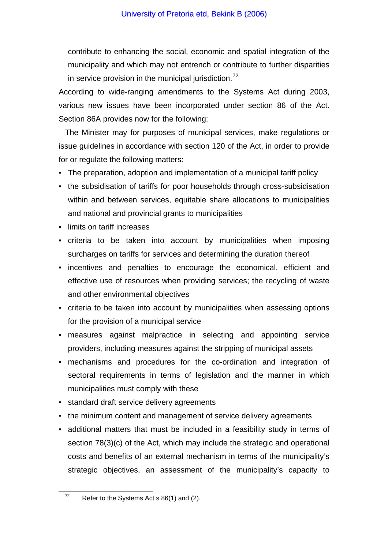contribute to enhancing the social, economic and spatial integration of the municipality and which may not entrench or contribute to further disparities in service provision in the municipal jurisdiction.<sup>[72](#page-29-0)</sup>

According to wide-ranging amendments to the Systems Act during 2003, various new issues have been incorporated under section 86 of the Act. Section 86A provides now for the following:

The Minister may for purposes of municipal services, make regulations or issue guidelines in accordance with section 120 of the Act, in order to provide for or regulate the following matters:

- The preparation, adoption and implementation of a municipal tariff policy
- the subsidisation of tariffs for poor households through cross-subsidisation within and between services, equitable share allocations to municipalities and national and provincial grants to municipalities
- limits on tariff increases
- criteria to be taken into account by municipalities when imposing surcharges on tariffs for services and determining the duration thereof
- incentives and penalties to encourage the economical, efficient and effective use of resources when providing services; the recycling of waste and other environmental objectives
- criteria to be taken into account by municipalities when assessing options for the provision of a municipal service
- measures against malpractice in selecting and appointing service providers, including measures against the stripping of municipal assets
- mechanisms and procedures for the co-ordination and integration of sectoral requirements in terms of legislation and the manner in which municipalities must comply with these
- standard draft service delivery agreements
- the minimum content and management of service delivery agreements
- additional matters that must be included in a feasibility study in terms of section 78(3)(c) of the Act, which may include the strategic and operational costs and benefits of an external mechanism in terms of the municipality's strategic objectives, an assessment of the municipality's capacity to

<span id="page-29-0"></span> $72$  Refer to the Systems Act s 86(1) and (2).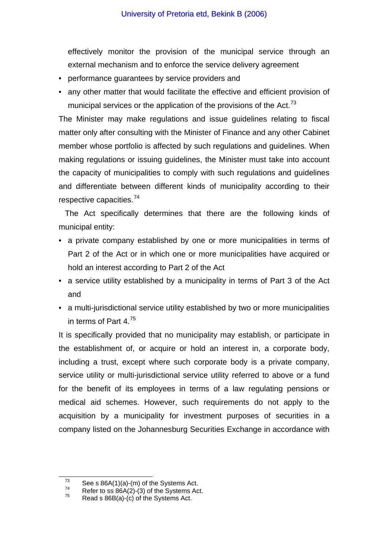effectively monitor the provision of the municipal service through an external mechanism and to enforce the service delivery agreement

- performance guarantees by service providers and
- any other matter that would facilitate the effective and efficient provision of municipal services or the application of the provisions of the Act.<sup>[73](#page-30-0)</sup>

The Minister may make regulations and issue guidelines relating to fiscal matter only after consulting with the Minister of Finance and any other Cabinet member whose portfolio is affected by such regulations and guidelines. When making regulations or issuing guidelines, the Minister must take into account the capacity of municipalities to comply with such regulations and guidelines and differentiate between different kinds of municipality according to their respective capacities.[74](#page-30-1)

The Act specifically determines that there are the following kinds of municipal entity:

- a private company established by one or more municipalities in terms of Part 2 of the Act or in which one or more municipalities have acquired or hold an interest according to Part 2 of the Act
- a service utility established by a municipality in terms of Part 3 of the Act and
- a multi-jurisdictional service utility established by two or more municipalities in terms of Part 4.[75](#page-30-2)

It is specifically provided that no municipality may establish, or participate in the establishment of, or acquire or hold an interest in, a corporate body, including a trust, except where such corporate body is a private company, service utility or multi-jurisdictional service utility referred to above or a fund for the benefit of its employees in terms of a law regulating pensions or medical aid schemes. However, such requirements do not apply to the acquisition by a municipality for investment purposes of securities in a company listed on the Johannesburg Securities Exchange in accordance with

<span id="page-30-1"></span><span id="page-30-0"></span>

<sup>&</sup>lt;sup>73</sup> See s 86A(1)(a)-(m) of the Systems Act.<br>
Refer to ss 86A(2)-(3) of the Systems Act.<br>
Read s 86B(a)-(c) of the Systems Act.

<span id="page-30-2"></span>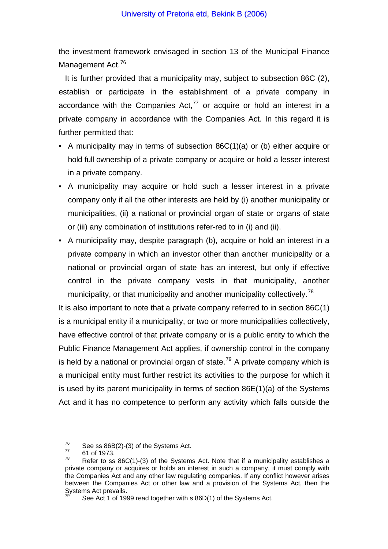the investment framework envisaged in section 13 of the Municipal Finance Management Act.<sup>[76](#page-31-0)</sup>

It is further provided that a municipality may, subject to subsection 86C (2), establish or participate in the establishment of a private company in accordance with the Companies Act.<sup>[77](#page-31-1)</sup> or acquire or hold an interest in a private company in accordance with the Companies Act. In this regard it is further permitted that:

- A municipality may in terms of subsection 86C(1)(a) or (b) either acquire or hold full ownership of a private company or acquire or hold a lesser interest in a private company.
- A municipality may acquire or hold such a lesser interest in a private company only if all the other interests are held by (i) another municipality or municipalities, (ii) a national or provincial organ of state or organs of state or (iii) any combination of institutions refer-red to in (i) and (ii).
- A municipality may, despite paragraph (b), acquire or hold an interest in a private company in which an investor other than another municipality or a national or provincial organ of state has an interest, but only if effective control in the private company vests in that municipality, another municipality, or that municipality and another municipality collectively.<sup>[78](#page-31-2)</sup>

It is also important to note that a private company referred to in section 86C(1) is a municipal entity if a municipality, or two or more municipalities collectively, have effective control of that private company or is a public entity to which the Public Finance Management Act applies, if ownership control in the company is held by a national or provincial organ of state.<sup>[79](#page-31-3)</sup> A private company which is a municipal entity must further restrict its activities to the purpose for which it is used by its parent municipality in terms of section 86E(1)(a) of the Systems Act and it has no competence to perform any activity which falls outside the

<span id="page-31-0"></span><sup>&</sup>lt;sup>76</sup> See ss 86B(2)-(3) of the Systems Act.<br>
<sup>77</sup> 61 of 1973.<br>
Refer to as 86C(4) (3) of the Systems

<span id="page-31-2"></span><span id="page-31-1"></span>Refer to ss 86C(1)-(3) of the Systems Act. Note that if a municipality establishes a private company or acquires or holds an interest in such a company, it must comply with the Companies Act and any other law regulating companies. If any conflict however arises between the Companies Act or other law and a provision of the Systems Act, then the Systems Act prevails.

<span id="page-31-3"></span>See Act 1 of 1999 read together with s 86D(1) of the Systems Act.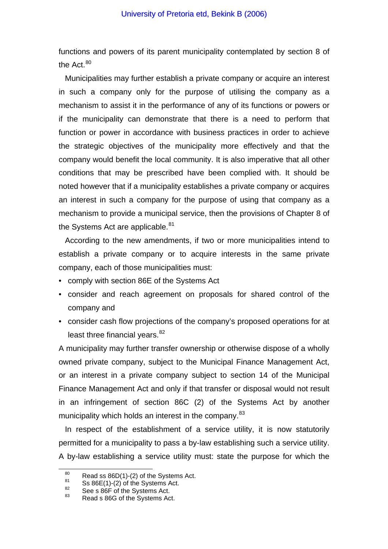functions and powers of its parent municipality contemplated by section 8 of the Act  $80$ 

Municipalities may further establish a private company or acquire an interest in such a company only for the purpose of utilising the company as a mechanism to assist it in the performance of any of its functions or powers or if the municipality can demonstrate that there is a need to perform that function or power in accordance with business practices in order to achieve the strategic objectives of the municipality more effectively and that the company would benefit the local community. It is also imperative that all other conditions that may be prescribed have been complied with. It should be noted however that if a municipality establishes a private company or acquires an interest in such a company for the purpose of using that company as a mechanism to provide a municipal service, then the provisions of Chapter 8 of the Systems Act are applicable.<sup>[81](#page-32-1)</sup>

According to the new amendments, if two or more municipalities intend to establish a private company or to acquire interests in the same private company, each of those municipalities must:

- comply with section 86E of the Systems Act
- consider and reach agreement on proposals for shared control of the company and
- consider cash flow projections of the company's proposed operations for at least three financial years.<sup>[82](#page-32-2)</sup>

A municipality may further transfer ownership or otherwise dispose of a wholly owned private company, subject to the Municipal Finance Management Act, or an interest in a private company subject to section 14 of the Municipal Finance Management Act and only if that transfer or disposal would not result in an infringement of section 86C (2) of the Systems Act by another municipality which holds an interest in the company.<sup>[83](#page-32-3)</sup>

In respect of the establishment of a service utility, it is now statutorily permitted for a municipality to pass a by-law establishing such a service utility. A by-law establishing a service utility must: state the purpose for which the

<span id="page-32-0"></span><sup>&</sup>lt;sup>80</sup> Read ss 86D(1)-(2) of the Systems Act.<br>
<sup>81</sup> Ss 86E(1)-(2) of the Systems Act.<br>
<sup>82</sup> See s 86F of the Systems Act.<br>
<sup>83</sup> Read s 86G of the Systems Act.

<span id="page-32-2"></span><span id="page-32-1"></span>

<span id="page-32-3"></span>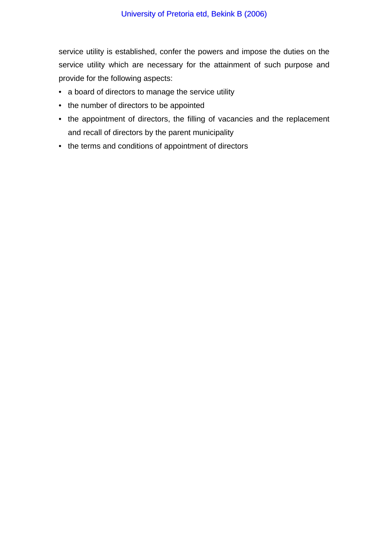service utility is established, confer the powers and impose the duties on the service utility which are necessary for the attainment of such purpose and provide for the following aspects:

- a board of directors to manage the service utility
- the number of directors to be appointed
- the appointment of directors, the filling of vacancies and the replacement and recall of directors by the parent municipality
- the terms and conditions of appointment of directors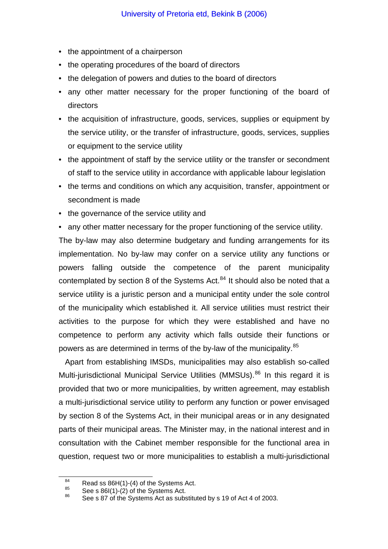- the appointment of a chairperson
- the operating procedures of the board of directors
- the delegation of powers and duties to the board of directors
- any other matter necessary for the proper functioning of the board of directors
- the acquisition of infrastructure, goods, services, supplies or equipment by the service utility, or the transfer of infrastructure, goods, services, supplies or equipment to the service utility
- the appointment of staff by the service utility or the transfer or secondment of staff to the service utility in accordance with applicable labour legislation
- the terms and conditions on which any acquisition, transfer, appointment or secondment is made
- the governance of the service utility and

• any other matter necessary for the proper functioning of the service utility. The by-law may also determine budgetary and funding arrangements for its implementation. No by-law may confer on a service utility any functions or powers falling outside the competence of the parent municipality contemplated by section 8 of the Systems Act. $84$  It should also be noted that a service utility is a juristic person and a municipal entity under the sole control of the municipality which established it. All service utilities must restrict their activities to the purpose for which they were established and have no competence to perform any activity which falls outside their functions or powers as are determined in terms of the by-law of the municipality.<sup>[85](#page-34-1)</sup>

Apart from establishing IMSDs, municipalities may also establish so-called Multi-jurisdictional Municipal Service Utilities (MMSUs).<sup>[86](#page-34-2)</sup> In this regard it is provided that two or more municipalities, by written agreement, may establish a multi-jurisdictional service utility to perform any function or power envisaged by section 8 of the Systems Act, in their municipal areas or in any designated parts of their municipal areas. The Minister may, in the national interest and in consultation with the Cabinet member responsible for the functional area in question, request two or more municipalities to establish a multi-jurisdictional

<span id="page-34-0"></span>

<span id="page-34-2"></span><span id="page-34-1"></span>

Read ss 86H(1)-(4) of the Systems Act.<br>
85 See s 86I(1)-(2) of the Systems Act.<br>
86 See s 87 of the Systems Act as substituted by s 19 of Act 4 of 2003.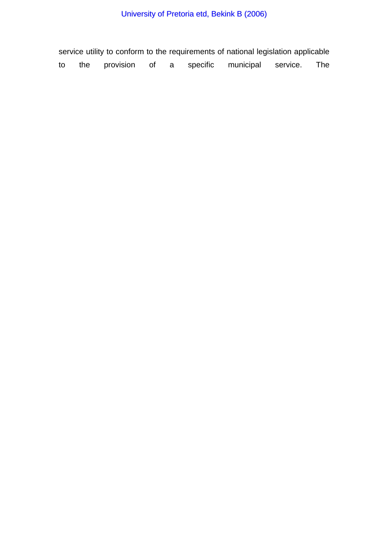# University of Pretoria etd, Bekink B (2006)

service utility to conform to the requirements of national legislation applicable to the provision of a specific municipal service. The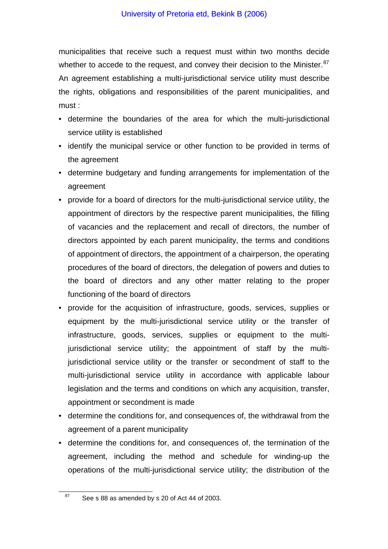municipalities that receive such a request must within two months decide whether to accede to the request, and convey their decision to the Minister. $87$ An agreement establishing a multi-jurisdictional service utility must describe the rights, obligations and responsibilities of the parent municipalities, and must :

- determine the boundaries of the area for which the multi-jurisdictional service utility is established
- identify the municipal service or other function to be provided in terms of the agreement
- determine budgetary and funding arrangements for implementation of the agreement
- provide for a board of directors for the multi-jurisdictional service utility, the appointment of directors by the respective parent municipalities, the filling of vacancies and the replacement and recall of directors, the number of directors appointed by each parent municipality, the terms and conditions of appointment of directors, the appointment of a chairperson, the operating procedures of the board of directors, the delegation of powers and duties to the board of directors and any other matter relating to the proper functioning of the board of directors
- provide for the acquisition of infrastructure, goods, services, supplies or equipment by the multi-jurisdictional service utility or the transfer of infrastructure, goods, services, supplies or equipment to the multijurisdictional service utility; the appointment of staff by the multijurisdictional service utility or the transfer or secondment of staff to the multi-jurisdictional service utility in accordance with applicable labour legislation and the terms and conditions on which any acquisition, transfer, appointment or secondment is made
- determine the conditions for, and consequences of, the withdrawal from the agreement of a parent municipality
- determine the conditions for, and consequences of, the termination of the agreement, including the method and schedule for winding-up the operations of the multi-jurisdictional service utility; the distribution of the

<span id="page-36-0"></span> $87$  See s 88 as amended by s 20 of Act 44 of 2003.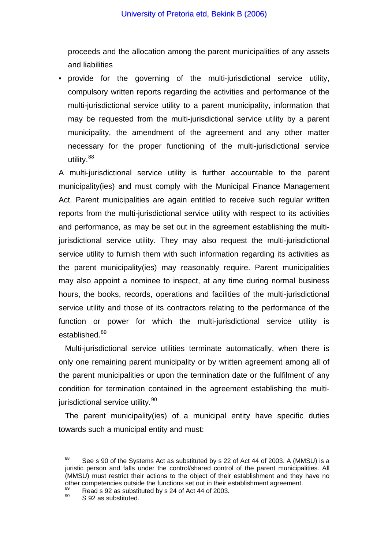proceeds and the allocation among the parent municipalities of any assets and liabilities

• provide for the governing of the multi-jurisdictional service utility, compulsory written reports regarding the activities and performance of the multi-jurisdictional service utility to a parent municipality, information that may be requested from the multi-jurisdictional service utility by a parent municipality, the amendment of the agreement and any other matter necessary for the proper functioning of the multi-jurisdictional service utility.<sup>[88](#page-37-0)</sup>

A multi-jurisdictional service utility is further accountable to the parent municipality(ies) and must comply with the Municipal Finance Management Act. Parent municipalities are again entitled to receive such regular written reports from the multi-jurisdictional service utility with respect to its activities and performance, as may be set out in the agreement establishing the multijurisdictional service utility. They may also request the multi-jurisdictional service utility to furnish them with such information regarding its activities as the parent municipality(ies) may reasonably require. Parent municipalities may also appoint a nominee to inspect, at any time during normal business hours, the books, records, operations and facilities of the multi-jurisdictional service utility and those of its contractors relating to the performance of the function or power for which the multi-jurisdictional service utility is established.<sup>[89](#page-37-1)</sup>

Multi-jurisdictional service utilities terminate automatically, when there is only one remaining parent municipality or by written agreement among all of the parent municipalities or upon the termination date or the fulfilment of any condition for termination contained in the agreement establishing the multi-jurisdictional service utility.<sup>[90](#page-37-2)</sup>

The parent municipality(ies) of a municipal entity have specific duties towards such a municipal entity and must:

<span id="page-37-0"></span><sup>&</sup>lt;sup>88</sup> See s 90 of the Systems Act as substituted by s 22 of Act 44 of 2003. A (MMSU) is a juristic person and falls under the control/shared control of the parent municipalities. All (MMSU) must restrict their actions to the object of their establishment and they have no other competencies outside the functions set out in their establishment agreement.<br>  $^{89}$  Read s 92 as substituted by s 24 of Act 44 of 2003.<br>  $^{90}$  S 92 as substituted.

<span id="page-37-2"></span><span id="page-37-1"></span>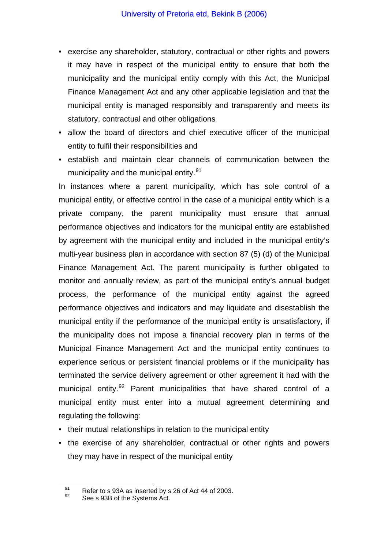- exercise any shareholder, statutory, contractual or other rights and powers it may have in respect of the municipal entity to ensure that both the municipality and the municipal entity comply with this Act, the Municipal Finance Management Act and any other applicable legislation and that the municipal entity is managed responsibly and transparently and meets its statutory, contractual and other obligations
- allow the board of directors and chief executive officer of the municipal entity to fulfil their responsibilities and
- establish and maintain clear channels of communication between the municipality and the municipal entity.<sup>[91](#page-38-0)</sup>

In instances where a parent municipality, which has sole control of a municipal entity, or effective control in the case of a municipal entity which is a private company, the parent municipality must ensure that annual performance objectives and indicators for the municipal entity are established by agreement with the municipal entity and included in the municipal entity's multi-year business plan in accordance with section 87 (5) (d) of the Municipal Finance Management Act. The parent municipality is further obligated to monitor and annually review, as part of the municipal entity's annual budget process, the performance of the municipal entity against the agreed performance objectives and indicators and may liquidate and disestablish the municipal entity if the performance of the municipal entity is unsatisfactory, if the municipality does not impose a financial recovery plan in terms of the Municipal Finance Management Act and the municipal entity continues to experience serious or persistent financial problems or if the municipality has terminated the service delivery agreement or other agreement it had with the municipal entity.<sup>[92](#page-38-1)</sup> Parent municipalities that have shared control of a municipal entity must enter into a mutual agreement determining and regulating the following:

- their mutual relationships in relation to the municipal entity
- the exercise of any shareholder, contractual or other rights and powers they may have in respect of the municipal entity

<span id="page-38-1"></span><span id="page-38-0"></span><sup>&</sup>lt;sup>91</sup> Refer to s 93A as inserted by s 26 of Act 44 of 2003.<br><sup>92</sup> See s 93B of the Systems Act.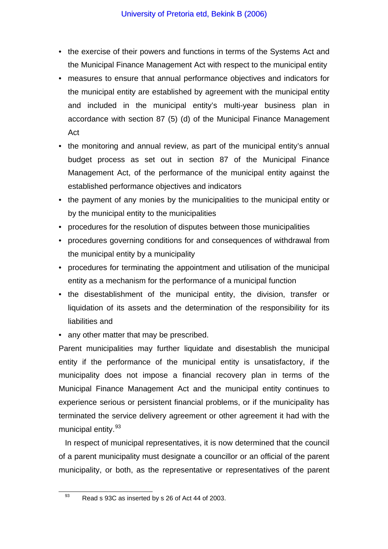- the exercise of their powers and functions in terms of the Systems Act and the Municipal Finance Management Act with respect to the municipal entity
- measures to ensure that annual performance objectives and indicators for the municipal entity are established by agreement with the municipal entity and included in the municipal entity's multi-year business plan in accordance with section 87 (5) (d) of the Municipal Finance Management Act
- the monitoring and annual review, as part of the municipal entity's annual budget process as set out in section 87 of the Municipal Finance Management Act, of the performance of the municipal entity against the established performance objectives and indicators
- the payment of any monies by the municipalities to the municipal entity or by the municipal entity to the municipalities
- procedures for the resolution of disputes between those municipalities
- procedures governing conditions for and consequences of withdrawal from the municipal entity by a municipality
- procedures for terminating the appointment and utilisation of the municipal entity as a mechanism for the performance of a municipal function
- the disestablishment of the municipal entity, the division, transfer or liquidation of its assets and the determination of the responsibility for its liabilities and
- any other matter that may be prescribed.

Parent municipalities may further liquidate and disestablish the municipal entity if the performance of the municipal entity is unsatisfactory, if the municipality does not impose a financial recovery plan in terms of the Municipal Finance Management Act and the municipal entity continues to experience serious or persistent financial problems, or if the municipality has terminated the service delivery agreement or other agreement it had with the municipal entity.<sup>[93](#page-39-0)</sup>

In respect of municipal representatives, it is now determined that the council of a parent municipality must designate a councillor or an official of the parent municipality, or both, as the representative or representatives of the parent

<span id="page-39-0"></span><sup>93</sup> Read s 93C as inserted by s 26 of Act 44 of 2003.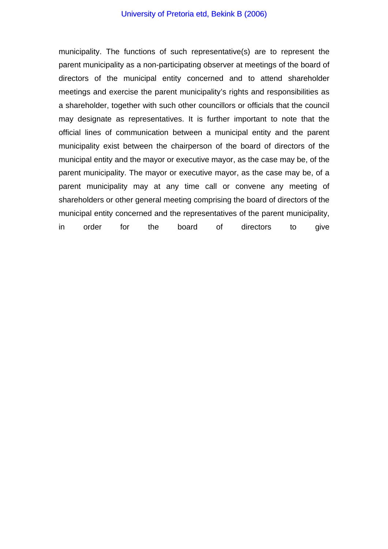#### University of Pretoria etd, Bekink B (2006)

municipality. The functions of such representative(s) are to represent the parent municipality as a non-participating observer at meetings of the board of directors of the municipal entity concerned and to attend shareholder meetings and exercise the parent municipality's rights and responsibilities as a shareholder, together with such other councillors or officials that the council may designate as representatives. It is further important to note that the official lines of communication between a municipal entity and the parent municipality exist between the chairperson of the board of directors of the municipal entity and the mayor or executive mayor, as the case may be, of the parent municipality. The mayor or executive mayor, as the case may be, of a parent municipality may at any time call or convene any meeting of shareholders or other general meeting comprising the board of directors of the municipal entity concerned and the representatives of the parent municipality, in order for the board of directors to give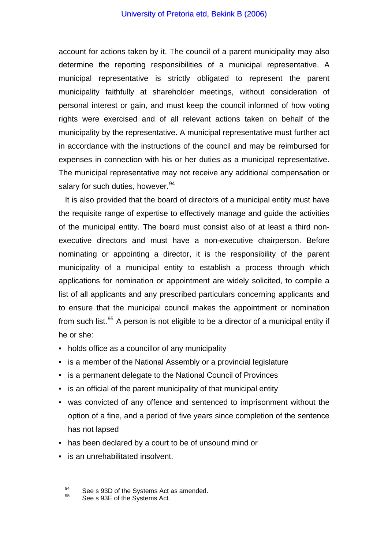account for actions taken by it. The council of a parent municipality may also determine the reporting responsibilities of a municipal representative. A municipal representative is strictly obligated to represent the parent municipality faithfully at shareholder meetings, without consideration of personal interest or gain, and must keep the council informed of how voting rights were exercised and of all relevant actions taken on behalf of the municipality by the representative. A municipal representative must further act in accordance with the instructions of the council and may be reimbursed for expenses in connection with his or her duties as a municipal representative. The municipal representative may not receive any additional compensation or salary for such duties, however.<sup>[94](#page-41-0)</sup>

It is also provided that the board of directors of a municipal entity must have the requisite range of expertise to effectively manage and guide the activities of the municipal entity. The board must consist also of at least a third nonexecutive directors and must have a non-executive chairperson. Before nominating or appointing a director, it is the responsibility of the parent municipality of a municipal entity to establish a process through which applications for nomination or appointment are widely solicited, to compile a list of all applicants and any prescribed particulars concerning applicants and to ensure that the municipal council makes the appointment or nomination from such list. $95$  A person is not eligible to be a director of a municipal entity if he or she:

- holds office as a councillor of any municipality
- is a member of the National Assembly or a provincial legislature
- is a permanent delegate to the National Council of Provinces
- is an official of the parent municipality of that municipal entity
- was convicted of any offence and sentenced to imprisonment without the option of a fine, and a period of five years since completion of the sentence has not lapsed
- has been declared by a court to be of unsound mind or
- is an unrehabilitated insolvent.

<span id="page-41-1"></span><span id="page-41-0"></span><sup>&</sup>lt;sup>94</sup> See s 93D of the Systems Act as amended.<br><sup>95</sup> See s 93E of the Systems Act.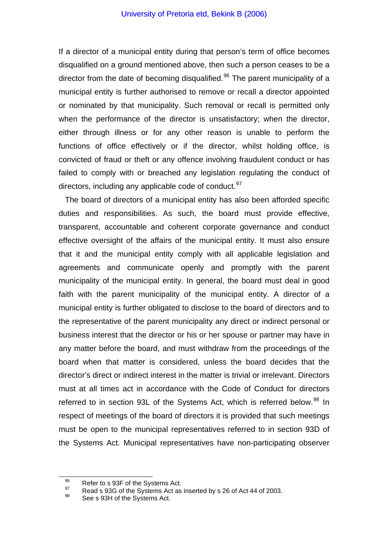If a director of a municipal entity during that person's term of office becomes disqualified on a ground mentioned above, then such a person ceases to be a director from the date of becoming disqualified.<sup>[96](#page-42-0)</sup> The parent municipality of a municipal entity is further authorised to remove or recall a director appointed or nominated by that municipality. Such removal or recall is permitted only when the performance of the director is unsatisfactory; when the director, either through illness or for any other reason is unable to perform the functions of office effectively or if the director, whilst holding office, is convicted of fraud or theft or any offence involving fraudulent conduct or has failed to comply with or breached any legislation regulating the conduct of directors, including any applicable code of conduct.  $97$ 

The board of directors of a municipal entity has also been afforded specific duties and responsibilities. As such, the board must provide effective, transparent, accountable and coherent corporate governance and conduct effective oversight of the affairs of the municipal entity. It must also ensure that it and the municipal entity comply with all applicable legislation and agreements and communicate openly and promptly with the parent municipality of the municipal entity. In general, the board must deal in good faith with the parent municipality of the municipal entity. A director of a municipal entity is further obligated to disclose to the board of directors and to the representative of the parent municipality any direct or indirect personal or business interest that the director or his or her spouse or partner may have in any matter before the board, and must withdraw from the proceedings of the board when that matter is considered, unless the board decides that the director's direct or indirect interest in the matter is trivial or irrelevant. Directors must at all times act in accordance with the Code of Conduct for directors referred to in section 93L of the Systems Act, which is referred below.<sup>[98](#page-42-2)</sup> In respect of meetings of the board of directors it is provided that such meetings must be open to the municipal representatives referred to in section 93D of the Systems Act. Municipal representatives have non-participating observer

<span id="page-42-1"></span><span id="page-42-0"></span>

<sup>96</sup> Refer to s 93F of the Systems Act.<br>
97 Read s 93G of the Systems Act as inserted by s 26 of Act 44 of 2003.<br>
98 See s 93H of the Systems Act.

<span id="page-42-2"></span>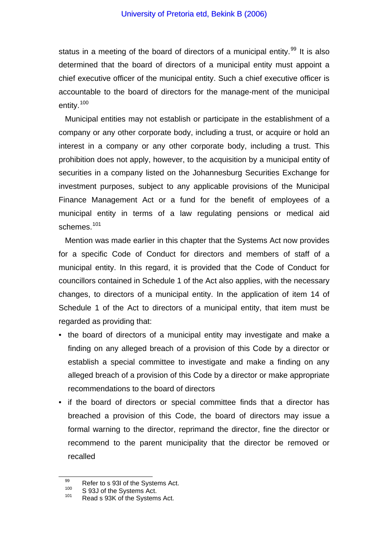status in a meeting of the board of directors of a municipal entity.<sup>[99](#page-43-0)</sup> It is also determined that the board of directors of a municipal entity must appoint a chief executive officer of the municipal entity. Such a chief executive officer is accountable to the board of directors for the manage-ment of the municipal entity.[100](#page-43-1)

Municipal entities may not establish or participate in the establishment of a company or any other corporate body, including a trust, or acquire or hold an interest in a company or any other corporate body, including a trust. This prohibition does not apply, however, to the acquisition by a municipal entity of securities in a company listed on the Johannesburg Securities Exchange for investment purposes, subject to any applicable provisions of the Municipal Finance Management Act or a fund for the benefit of employees of a municipal entity in terms of a law regulating pensions or medical aid schemes.<sup>[101](#page-43-2)</sup>

Mention was made earlier in this chapter that the Systems Act now provides for a specific Code of Conduct for directors and members of staff of a municipal entity. In this regard, it is provided that the Code of Conduct for councillors contained in Schedule 1 of the Act also applies, with the necessary changes, to directors of a municipal entity. In the application of item 14 of Schedule 1 of the Act to directors of a municipal entity, that item must be regarded as providing that:

- the board of directors of a municipal entity may investigate and make a finding on any alleged breach of a provision of this Code by a director or establish a special committee to investigate and make a finding on any alleged breach of a provision of this Code by a director or make appropriate recommendations to the board of directors
- if the board of directors or special committee finds that a director has breached a provision of this Code, the board of directors may issue a formal warning to the director, reprimand the director, fine the director or recommend to the parent municipality that the director be removed or recalled

<span id="page-43-0"></span><sup>99</sup> Refer to s 93I of the Systems Act.<br>
100 S 93J of the Systems Act.<br>
101 Read s 93K of the Systems Act.

<span id="page-43-2"></span><span id="page-43-1"></span>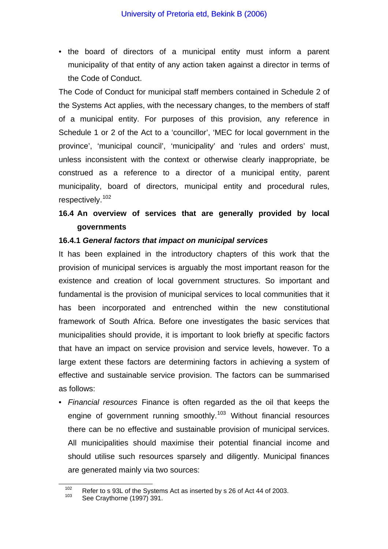• the board of directors of a municipal entity must inform a parent municipality of that entity of any action taken against a director in terms of the Code of Conduct.

The Code of Conduct for municipal staff members contained in Schedule 2 of the Systems Act applies, with the necessary changes, to the members of staff of a municipal entity. For purposes of this provision, any reference in Schedule 1 or 2 of the Act to a 'councillor', 'MEC for local government in the province', 'municipal council', 'municipality' and 'rules and orders' must, unless inconsistent with the context or otherwise clearly inappropriate, be construed as a reference to a director of a municipal entity, parent municipality, board of directors, municipal entity and procedural rules, respectively.[102](#page-44-0)

# **16.4 An overview of services that are generally provided by local governments**

### **16.4.1** *General factors that impact on municipal services*

It has been explained in the introductory chapters of this work that the provision of municipal services is arguably the most important reason for the existence and creation of local government structures. So important and fundamental is the provision of municipal services to local communities that it has been incorporated and entrenched within the new constitutional framework of South Africa. Before one investigates the basic services that municipalities should provide, it is important to look briefly at specific factors that have an impact on service provision and service levels, however. To a large extent these factors are determining factors in achieving a system of effective and sustainable service provision. The factors can be summarised as follows:

• *Financial resources* Finance is often regarded as the oil that keeps the engine of government running smoothly.<sup>[103](#page-44-1)</sup> Without financial resources there can be no effective and sustainable provision of municipal services. All municipalities should maximise their potential financial income and should utilise such resources sparsely and diligently. Municipal finances are generated mainly via two sources:

<span id="page-44-1"></span><span id="page-44-0"></span><sup>&</sup>lt;sup>102</sup> Refer to s 93L of the Systems Act as inserted by s 26 of Act 44 of 2003.<br><sup>103</sup> See Craythorne (1997) 391.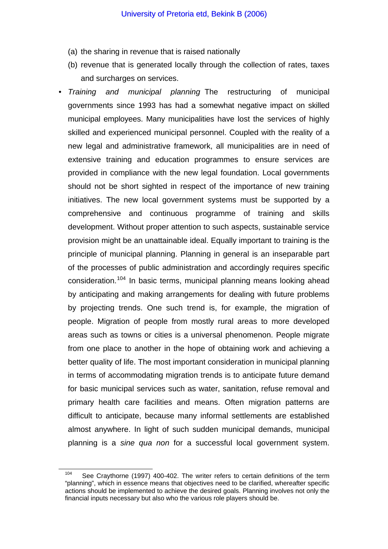- (a) the sharing in revenue that is raised nationally
- (b) revenue that is generated locally through the collection of rates, taxes and surcharges on services.
- *Training and municipal planning* The restructuring of municipal governments since 1993 has had a somewhat negative impact on skilled municipal employees. Many municipalities have lost the services of highly skilled and experienced municipal personnel. Coupled with the reality of a new legal and administrative framework, all municipalities are in need of extensive training and education programmes to ensure services are provided in compliance with the new legal foundation. Local governments should not be short sighted in respect of the importance of new training initiatives. The new local government systems must be supported by a comprehensive and continuous programme of training and skills development. Without proper attention to such aspects, sustainable service provision might be an unattainable ideal. Equally important to training is the principle of municipal planning. Planning in general is an inseparable part of the processes of public administration and accordingly requires specific consideration.<sup>[104](#page-45-0)</sup> In basic terms, municipal planning means looking ahead by anticipating and making arrangements for dealing with future problems by projecting trends. One such trend is, for example, the migration of people. Migration of people from mostly rural areas to more developed areas such as towns or cities is a universal phenomenon. People migrate from one place to another in the hope of obtaining work and achieving a better quality of life. The most important consideration in municipal planning in terms of accommodating migration trends is to anticipate future demand for basic municipal services such as water, sanitation, refuse removal and primary health care facilities and means. Often migration patterns are difficult to anticipate, because many informal settlements are established almost anywhere. In light of such sudden municipal demands, municipal planning is a *sine qua non* for a successful local government system.

<span id="page-45-0"></span> $104$  See Craythorne (1997) 400-402. The writer refers to certain definitions of the term "planning", which in essence means that objectives need to be clarified, whereafter specific actions should be implemented to achieve the desired goals. Planning involves not only the financial inputs necessary but also who the various role players should be.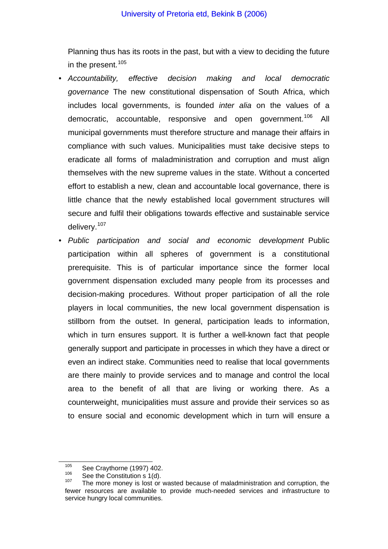Planning thus has its roots in the past, but with a view to deciding the future in the present.  $105$ 

- *Accountability, effective decision making and local democratic governance* The new constitutional dispensation of South Africa, which includes local governments, is founded *inter alia* on the values of a democratic, accountable, responsive and open government.<sup>[106](#page-46-1)</sup> All municipal governments must therefore structure and manage their affairs in compliance with such values. Municipalities must take decisive steps to eradicate all forms of maladministration and corruption and must align themselves with the new supreme values in the state. Without a concerted effort to establish a new, clean and accountable local governance, there is little chance that the newly established local government structures will secure and fulfil their obligations towards effective and sustainable service delivery.[107](#page-46-2)
- *Public participation and social and economic development* Public participation within all spheres of government is a constitutional prerequisite. This is of particular importance since the former local government dispensation excluded many people from its processes and decision-making procedures. Without proper participation of all the role players in local communities, the new local government dispensation is stillborn from the outset. In general, participation leads to information, which in turn ensures support. It is further a well-known fact that people generally support and participate in processes in which they have a direct or even an indirect stake. Communities need to realise that local governments are there mainly to provide services and to manage and control the local area to the benefit of all that are living or working there. As a counterweight, municipalities must assure and provide their services so as to ensure social and economic development which in turn will ensure a

<span id="page-46-2"></span>

<span id="page-46-1"></span><span id="page-46-0"></span><sup>&</sup>lt;sup>105</sup> See Craythorne (1997) 402.<br><sup>106</sup> See the Constitution s 1(d).<br><sup>107</sup> The more money is lost or wasted because of maladministration and corruption, the fewer resources are available to provide much-needed services and infrastructure to service hungry local communities.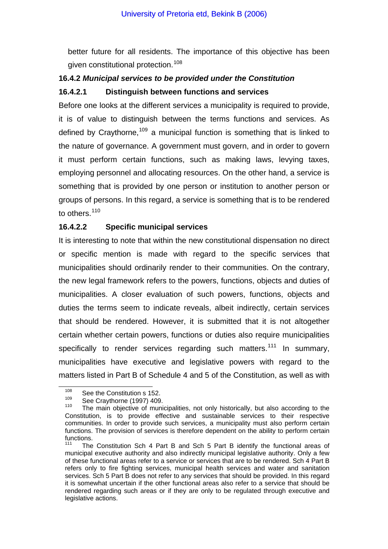better future for all residents. The importance of this objective has been given constitutional protection.<sup>[108](#page-47-0)</sup>

# **16.4.2** *Municipal services to be provided under the Constitution*

#### **16.4.2.1 Distinguish between functions and services**

Before one looks at the different services a municipality is required to provide, it is of value to distinguish between the terms functions and services. As defined by Craythorne.<sup>[109](#page-47-1)</sup> a municipal function is something that is linked to the nature of governance. A government must govern, and in order to govern it must perform certain functions, such as making laws, levying taxes, employing personnel and allocating resources. On the other hand, a service is something that is provided by one person or institution to another person or groups of persons. In this regard, a service is something that is to be rendered to others.<sup>[110](#page-47-2)</sup>

### **16.4.2.2 Specific municipal services**

It is interesting to note that within the new constitutional dispensation no direct or specific mention is made with regard to the specific services that municipalities should ordinarily render to their communities. On the contrary, the new legal framework refers to the powers, functions, objects and duties of municipalities. A closer evaluation of such powers, functions, objects and duties the terms seem to indicate reveals, albeit indirectly, certain services that should be rendered. However, it is submitted that it is not altogether certain whether certain powers, functions or duties also require municipalities specifically to render services regarding such matters.<sup>[111](#page-47-3)</sup> In summary, municipalities have executive and legislative powers with regard to the matters listed in Part B of Schedule 4 and 5 of the Constitution, as well as with

<span id="page-47-0"></span> $\frac{108}{109}$  See the Constitution s 152.

<span id="page-47-2"></span><span id="page-47-1"></span><sup>&</sup>lt;sup>109</sup> See Craythorne (1997) 409.<br><sup>110</sup> The main objective of municipalities, not only historically, but also according to the Constitution, is to provide effective and sustainable services to their respective communities. In order to provide such services, a municipality must also perform certain functions. The provision of services is therefore dependent on the ability to perform certain functions.

<span id="page-47-3"></span>The Constitution Sch 4 Part B and Sch 5 Part B identify the functional areas of municipal executive authority and also indirectly municipal legislative authority. Only a few of these functional areas refer to a service or services that are to be rendered. Sch 4 Part B refers only to fire fighting services, municipal health services and water and sanitation services. Sch 5 Part B does not refer to any services that should be provided. In this regard it is somewhat uncertain if the other functional areas also refer to a service that should be rendered regarding such areas or if they are only to be regulated through executive and legislative actions.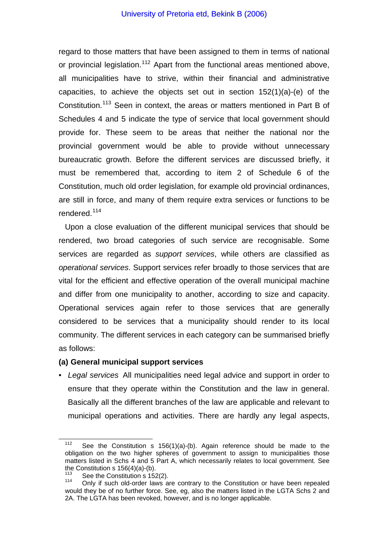regard to those matters that have been assigned to them in terms of national or provincial legislation.<sup>[112](#page-48-0)</sup> Apart from the functional areas mentioned above, all municipalities have to strive, within their financial and administrative capacities, to achieve the objects set out in section 152(1)(a)-(e) of the Constitution.[113](#page-48-1) Seen in context, the areas or matters mentioned in Part B of Schedules 4 and 5 indicate the type of service that local government should provide for. These seem to be areas that neither the national nor the provincial government would be able to provide without unnecessary bureaucratic growth. Before the different services are discussed briefly, it must be remembered that, according to item 2 of Schedule 6 of the Constitution, much old order legislation, for example old provincial ordinances, are still in force, and many of them require extra services or functions to be rendered.[114](#page-48-2)

Upon a close evaluation of the different municipal services that should be rendered, two broad categories of such service are recognisable. Some services are regarded as *support services*, while others are classified as *operational services*. Support services refer broadly to those services that are vital for the efficient and effective operation of the overall municipal machine and differ from one municipality to another, according to size and capacity. Operational services again refer to those services that are generally considered to be services that a municipality should render to its local community. The different services in each category can be summarised briefly as follows:

#### **(a) General municipal support services**

• *Legal services* All municipalities need legal advice and support in order to ensure that they operate within the Constitution and the law in general. Basically all the different branches of the law are applicable and relevant to municipal operations and activities. There are hardly any legal aspects,

<span id="page-48-0"></span><sup>&</sup>lt;sup>112</sup> See the Constitution s 156(1)(a)-(b). Again reference should be made to the obligation on the two higher spheres of government to assign to municipalities those matters listed in Schs 4 and 5 Part A, which necessarily relates to local government. See the Constitution s  $156(4)(a)-(b)$ .

<span id="page-48-2"></span><span id="page-48-1"></span><sup>&</sup>lt;sup>113</sup> See the Constitution s 152(2).<br><sup>114</sup> Only if such old-order laws are contrary to the Constitution or have been repealed would they be of no further force. See, eg, also the matters listed in the LGTA Schs 2 and 2A. The LGTA has been revoked, however, and is no longer applicable.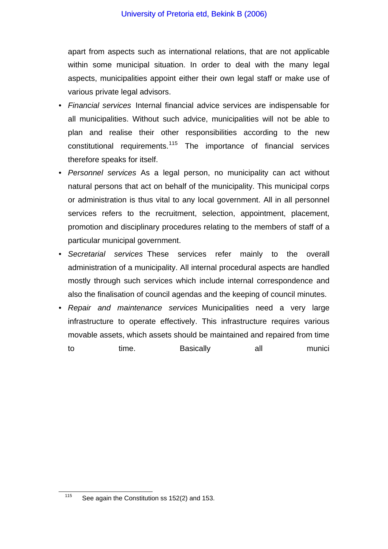apart from aspects such as international relations, that are not applicable within some municipal situation. In order to deal with the many legal aspects, municipalities appoint either their own legal staff or make use of various private legal advisors.

- *Financial services* Internal financial advice services are indispensable for all municipalities. Without such advice, municipalities will not be able to plan and realise their other responsibilities according to the new constitutional requirements.<sup>[115](#page-49-0)</sup> The importance of financial services therefore speaks for itself.
- *Personnel services* As a legal person, no municipality can act without natural persons that act on behalf of the municipality. This municipal corps or administration is thus vital to any local government. All in all personnel services refers to the recruitment, selection, appointment, placement, promotion and disciplinary procedures relating to the members of staff of a particular municipal government.
- *Secretarial services* These services refer mainly to the overall administration of a municipality. All internal procedural aspects are handled mostly through such services which include internal correspondence and also the finalisation of council agendas and the keeping of council minutes.
- *Repair and maintenance services* Municipalities need a very large infrastructure to operate effectively. This infrastructure requires various movable assets, which assets should be maintained and repaired from time to time. Basically all munici

<span id="page-49-0"></span> $115$  See again the Constitution ss 152(2) and 153.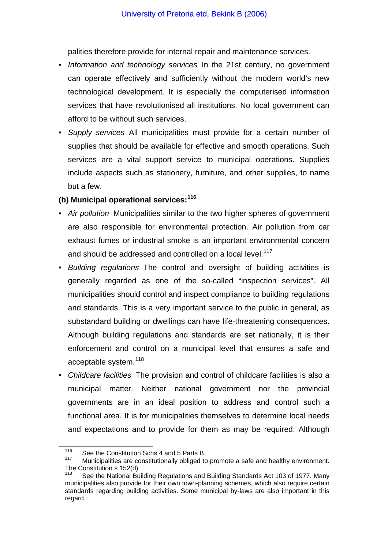palities therefore provide for internal repair and maintenance services.

- *Information and technology services* In the 21st century, no government can operate effectively and sufficiently without the modern world's new technological development. It is especially the computerised information services that have revolutionised all institutions. No local government can afford to be without such services.
- *Supply services* All municipalities must provide for a certain number of supplies that should be available for effective and smooth operations. Such services are a vital support service to municipal operations. Supplies include aspects such as stationery, furniture, and other supplies, to name but a few.

# **(b) Municipal operational services:[116](#page-50-0)**

- *Air pollution* Municipalities similar to the two higher spheres of government are also responsible for environmental protection. Air pollution from car exhaust fumes or industrial smoke is an important environmental concern and should be addressed and controlled on a local level.<sup>[117](#page-50-1)</sup>
- *Building regulations* The control and oversight of building activities is generally regarded as one of the so-called "inspection services". All municipalities should control and inspect compliance to building regulations and standards. This is a very important service to the public in general, as substandard building or dwellings can have life-threatening consequences. Although building regulations and standards are set nationally, it is their enforcement and control on a municipal level that ensures a safe and acceptable system.<sup>[118](#page-50-2)</sup>
- *Childcare facilities* The provision and control of childcare facilities is also a municipal matter. Neither national government nor the provincial governments are in an ideal position to address and control such a functional area. It is for municipalities themselves to determine local needs and expectations and to provide for them as may be required. Although

<span id="page-50-0"></span><sup>&</sup>lt;sup>116</sup> See the Constitution Schs 4 and 5 Parts B.<br><sup>117</sup> Municipalities are constitutionally obliged to

<span id="page-50-1"></span>Municipalities are constitutionally obliged to promote a safe and healthy environment. The Constitution s 152(d).

<span id="page-50-2"></span>See the National Building Regulations and Building Standards Act 103 of 1977. Many municipalities also provide for their own town-planning schemes, which also require certain standards regarding building activities. Some municipal by-laws are also important in this regard.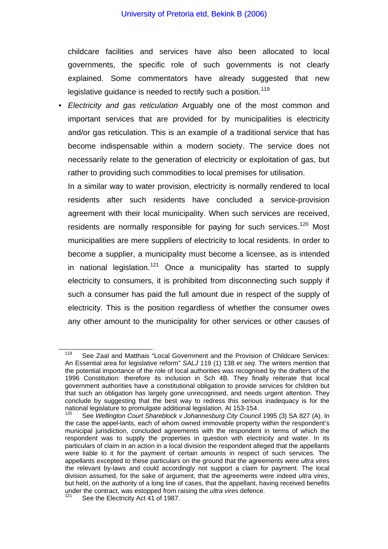#### University of Pretoria etd, Bekink B (2006)

childcare facilities and services have also been allocated to local governments, the specific role of such governments is not clearly explained. Some commentators have already suggested that new legislative guidance is needed to rectify such a position.<sup>[119](#page-51-0)</sup>

• *Electricity and gas reticulation* Arguably one of the most common and important services that are provided for by municipalities is electricity and/or gas reticulation. This is an example of a traditional service that has become indispensable within a modern society. The service does not necessarily relate to the generation of electricity or exploitation of gas, but rather to providing such commodities to local premises for utilisation.

 In a similar way to water provision, electricity is normally rendered to local residents after such residents have concluded a service-provision agreement with their local municipality. When such services are received, residents are normally responsible for paying for such services.<sup>[120](#page-51-1)</sup> Most municipalities are mere suppliers of electricity to local residents. In order to become a supplier, a municipality must become a licensee, as is intended in national legislation.<sup>[121](#page-51-2)</sup> Once a municipality has started to supply electricity to consumers, it is prohibited from disconnecting such supply if such a consumer has paid the full amount due in respect of the supply of electricity. This is the position regardless of whether the consumer owes any other amount to the municipality for other services or other causes of

<span id="page-51-0"></span><sup>&</sup>lt;sup>119</sup> See Zaal and Matthais "Local Government and the Provision of Childcare Services: An Essential area for legislative reform" *SALJ* 119 (1) 138 *et seq*. The writers mention that the potential importance of the role of local authorities was recognised by the drafters of the 1996 Constitution: therefore its inclusion in Sch 4B. They finally reiterate that local government authorities have a constitutional obligation to provide services for children but that such an obligation has largely gone unrecognised, and needs urgent attention. They conclude by suggesting that the best way to redress this serious inadequacy is for the national legislature to promulgate additional legislation. At 153-154.<br><sup>120</sup> See *Wellington Court Shareblock v Johannesburg City Council* 1995 (3) SA 827 (A). In

<span id="page-51-1"></span>the case the appel-lants, each of whom owned immovable property within the respondent's municipal jurisdiction, concluded agreements with the respondent in terms of which the respondent was to supply the properties in question with electricity and water. In its particulars of claim in an action in a local division the respondent alleged that the appellants were liable to it for the payment of certain amounts in respect of such services. The appellants excepted to these particulars on the ground that the agreements were *ultra vires* the relevant by-laws and could accordingly not support a claim for payment. The local division assumed, for the sake of argument, that the agreements were indeed *ultra vires*, but held, on the authority of a long line of cases, that the appellant, having received benefits under the contract, was estopped from raising the *ultra vires* defence.

<span id="page-51-2"></span>See the Electricity Act 41 of 1987.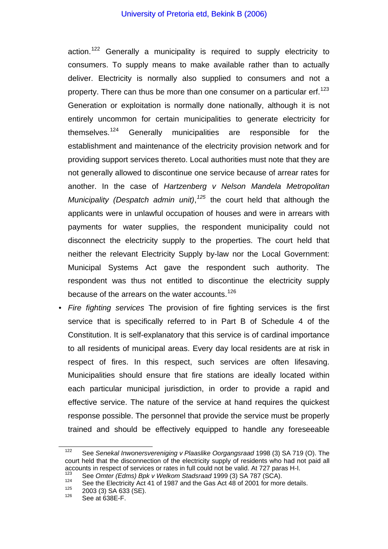action.<sup>[122](#page-52-0)</sup> Generally a municipality is required to supply electricity to consumers. To supply means to make available rather than to actually deliver. Electricity is normally also supplied to consumers and not a property. There can thus be more than one consumer on a particular erf.<sup>[123](#page-52-1)</sup> Generation or exploitation is normally done nationally, although it is not entirely uncommon for certain municipalities to generate electricity for themselves.[124](#page-52-2) Generally municipalities are responsible for the establishment and maintenance of the electricity provision network and for providing support services thereto. Local authorities must note that they are not generally allowed to discontinue one service because of arrear rates for another. In the case of *Hartzenberg v Nelson Mandela Metropolitan Municipality (Despatch admin unit)*, *[125](#page-52-3)* the court held that although the applicants were in unlawful occupation of houses and were in arrears with payments for water supplies, the respondent municipality could not disconnect the electricity supply to the properties. The court held that neither the relevant Electricity Supply by-law nor the Local Government: Municipal Systems Act gave the respondent such authority. The respondent was thus not entitled to discontinue the electricity supply because of the arrears on the water accounts.<sup>[126](#page-52-4)</sup>

• *Fire fighting services* The provision of fire fighting services is the first service that is specifically referred to in Part B of Schedule 4 of the Constitution. It is self-explanatory that this service is of cardinal importance to all residents of municipal areas. Every day local residents are at risk in respect of fires. In this respect, such services are often lifesaving. Municipalities should ensure that fire stations are ideally located within each particular municipal jurisdiction, in order to provide a rapid and effective service. The nature of the service at hand requires the quickest response possible. The personnel that provide the service must be properly trained and should be effectively equipped to handle any foreseeable

<span id="page-52-0"></span>122 See *Senekal Inwonersvereniging v Plaaslike Oorgangsraad* 1998 (3) SA 719 (O). The court held that the disconnection of the electricity supply of residents who had not paid all accounts in respect of services or rates in full could not be valid. At 727 paras H-I.<br>
See *Omter (Edms) Bpk v Welkom Stadsraad* 1999 (3) SA 787 (SCA).<br>
See the Electricity Act 41 of 1987 and the Gas Act 48 of 2001 for m

<span id="page-52-3"></span><span id="page-52-2"></span><span id="page-52-1"></span>

<span id="page-52-4"></span>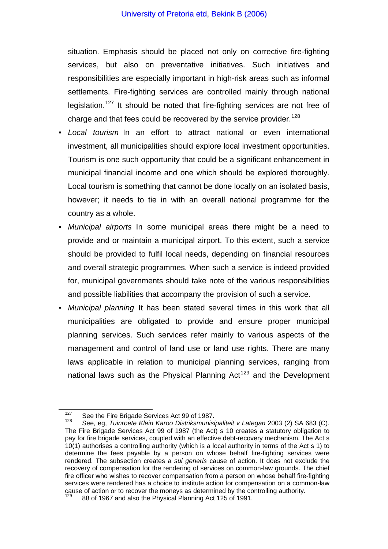situation. Emphasis should be placed not only on corrective fire-fighting services, but also on preventative initiatives. Such initiatives and responsibilities are especially important in high-risk areas such as informal settlements. Fire-fighting services are controlled mainly through national legislation.<sup>[127](#page-53-0)</sup> It should be noted that fire-fighting services are not free of charge and that fees could be recovered by the service provider.<sup>[128](#page-53-1)</sup>

- *Local tourism* In an effort to attract national or even international investment, all municipalities should explore local investment opportunities. Tourism is one such opportunity that could be a significant enhancement in municipal financial income and one which should be explored thoroughly. Local tourism is something that cannot be done locally on an isolated basis, however; it needs to tie in with an overall national programme for the country as a whole.
- *Municipal airports* In some municipal areas there might be a need to provide and or maintain a municipal airport. To this extent, such a service should be provided to fulfil local needs, depending on financial resources and overall strategic programmes. When such a service is indeed provided for, municipal governments should take note of the various responsibilities and possible liabilities that accompany the provision of such a service.
- *Municipal planning* It has been stated several times in this work that all municipalities are obligated to provide and ensure proper municipal planning services. Such services refer mainly to various aspects of the management and control of land use or land use rights. There are many laws applicable in relation to municipal planning services, ranging from national laws such as the Physical Planning Act<sup>[129](#page-53-2)</sup> and the Development

<span id="page-53-1"></span><span id="page-53-0"></span><sup>&</sup>lt;sup>127</sup> See the Fire Brigade Services Act 99 of 1987.<br><sup>128</sup> See, eg, *Tuinroete Klein Karoo Distriksmunisipaliteit v Lategan* 2003 (2) SA 683 (C). The Fire Brigade Services Act 99 of 1987 (the Act) s 10 creates a statutory obligation to pay for fire brigade services, coupled with an effective debt-recovery mechanism. The Act s 10(1) authorises a controlling authority (which is a local authority in terms of the Act s 1) to determine the fees payable by a person on whose behalf fire-fighting services were rendered. The subsection creates a *sui generis* cause of action. It does not exclude the recovery of compensation for the rendering of services on common-law grounds. The chief fire officer who wishes to recover compensation from a person on whose behalf fire-fighting services were rendered has a choice to institute action for compensation on a common-law cause of action or to recover the moneys as determined by the controlling authority.

<span id="page-53-2"></span><sup>129 88</sup> of 1967 and also the Physical Planning Act 125 of 1991.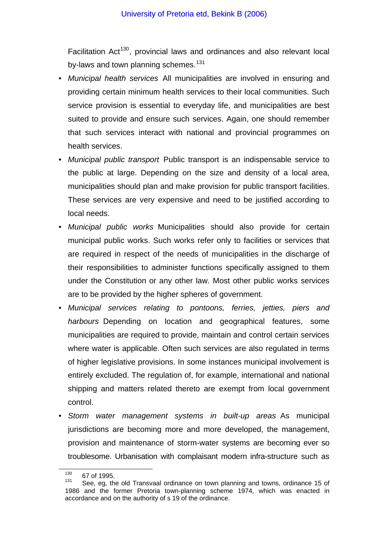Facilitation Act<sup>[130](#page-54-0)</sup>, provincial laws and ordinances and also relevant local by-laws and town planning schemes.<sup>[131](#page-54-1)</sup>

- *Municipal health services* All municipalities are involved in ensuring and providing certain minimum health services to their local communities. Such service provision is essential to everyday life, and municipalities are best suited to provide and ensure such services. Again, one should remember that such services interact with national and provincial programmes on health services.
- *Municipal public transport* Public transport is an indispensable service to the public at large. Depending on the size and density of a local area, municipalities should plan and make provision for public transport facilities. These services are very expensive and need to be justified according to local needs.
- *Municipal public works* Municipalities should also provide for certain municipal public works. Such works refer only to facilities or services that are required in respect of the needs of municipalities in the discharge of their responsibilities to administer functions specifically assigned to them under the Constitution or any other law. Most other public works services are to be provided by the higher spheres of government.
- *Municipal services relating to pontoons, ferries, jetties, piers and harbours* Depending on location and geographical features, some municipalities are required to provide, maintain and control certain services where water is applicable. Often such services are also regulated in terms of higher legislative provisions. In some instances municipal involvement is entirely excluded. The regulation of, for example, international and national shipping and matters related thereto are exempt from local government control.
- *Storm water management systems in built-up areas* As municipal jurisdictions are becoming more and more developed, the management, provision and maintenance of storm-water systems are becoming ever so troublesome. Urbanisation with complaisant modern infra-structure such as

<span id="page-54-0"></span> $\frac{130}{131}$  67 of 1995.

<span id="page-54-1"></span>See, eg, the old Transvaal ordinance on town planning and towns, ordinance 15 of 1986 and the former Pretoria town-planning scheme 1974, which was enacted in accordance and on the authority of s 19 of the ordinance.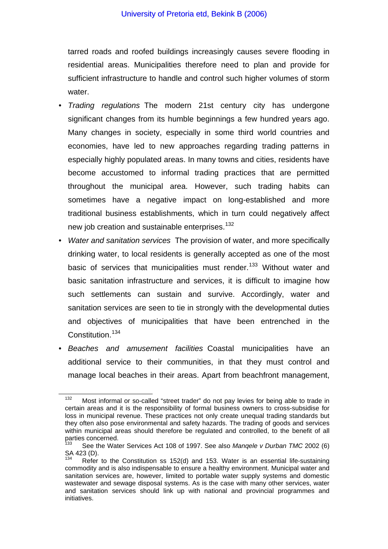tarred roads and roofed buildings increasingly causes severe flooding in residential areas. Municipalities therefore need to plan and provide for sufficient infrastructure to handle and control such higher volumes of storm water.

- *Trading regulations* The modern 21st century city has undergone significant changes from its humble beginnings a few hundred years ago. Many changes in society, especially in some third world countries and economies, have led to new approaches regarding trading patterns in especially highly populated areas. In many towns and cities, residents have become accustomed to informal trading practices that are permitted throughout the municipal area. However, such trading habits can sometimes have a negative impact on long-established and more traditional business establishments, which in turn could negatively affect new job creation and sustainable enterprises.<sup>[132](#page-55-0)</sup>
- *Water and sanitation services* The provision of water, and more specifically drinking water, to local residents is generally accepted as one of the most basic of services that municipalities must render.<sup>[133](#page-55-1)</sup> Without water and basic sanitation infrastructure and services, it is difficult to imagine how such settlements can sustain and survive. Accordingly, water and sanitation services are seen to tie in strongly with the developmental duties and objectives of municipalities that have been entrenched in the Constitution.<sup>[134](#page-55-2)</sup>
- *Beaches and amusement facilities* Coastal municipalities have an additional service to their communities, in that they must control and manage local beaches in their areas. Apart from beachfront management,

<span id="page-55-0"></span> $132$  Most informal or so-called "street trader" do not pay levies for being able to trade in certain areas and it is the responsibility of formal business owners to cross-subsidise for loss in municipal revenue. These practices not only create unequal trading standards but they often also pose environmental and safety hazards. The trading of goods and services within municipal areas should therefore be regulated and controlled, to the benefit of all parties concerned.

<span id="page-55-1"></span><sup>133</sup> See the Water Services Act 108 of 1997. See also *Manqele v Durban TMC* 2002 (6) SA 423 (D).

<span id="page-55-2"></span>Refer to the Constitution ss 152(d) and 153. Water is an essential life-sustaining commodity and is also indispensable to ensure a healthy environment. Municipal water and sanitation services are, however, limited to portable water supply systems and domestic wastewater and sewage disposal systems. As is the case with many other services, water and sanitation services should link up with national and provincial programmes and initiatives.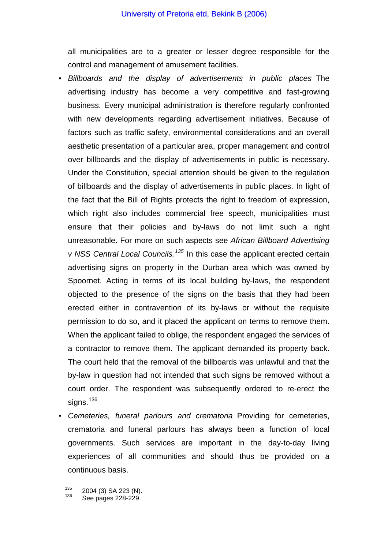all municipalities are to a greater or lesser degree responsible for the control and management of amusement facilities.

- *Billboards and the display of advertisements in public places* The advertising industry has become a very competitive and fast-growing business. Every municipal administration is therefore regularly confronted with new developments regarding advertisement initiatives. Because of factors such as traffic safety, environmental considerations and an overall aesthetic presentation of a particular area, proper management and control over billboards and the display of advertisements in public is necessary. Under the Constitution, special attention should be given to the regulation of billboards and the display of advertisements in public places. In light of the fact that the Bill of Rights protects the right to freedom of expression, which right also includes commercial free speech, municipalities must ensure that their policies and by-laws do not limit such a right unreasonable. For more on such aspects see *African Billboard Advertising v NSS Central Local Councils.[135](#page-56-0)* In this case the applicant erected certain advertising signs on property in the Durban area which was owned by Spoornet. Acting in terms of its local building by-laws, the respondent objected to the presence of the signs on the basis that they had been erected either in contravention of its by-laws or without the requisite permission to do so, and it placed the applicant on terms to remove them. When the applicant failed to oblige, the respondent engaged the services of a contractor to remove them. The applicant demanded its property back. The court held that the removal of the billboards was unlawful and that the by-law in question had not intended that such signs be removed without a court order. The respondent was subsequently ordered to re-erect the signs. $136$
- *Cemeteries, funeral parlours and crematoria* Providing for cemeteries, crematoria and funeral parlours has always been a function of local governments. Such services are important in the day-to-day living experiences of all communities and should thus be provided on a continuous basis.

<span id="page-56-1"></span><span id="page-56-0"></span> $\frac{135}{136}$  2004 (3) SA 223 (N).<br>
See pages 228-229.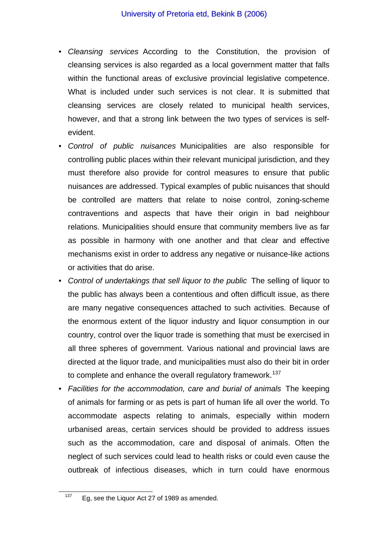- *Cleansing services* According to the Constitution, the provision of cleansing services is also regarded as a local government matter that falls within the functional areas of exclusive provincial legislative competence. What is included under such services is not clear. It is submitted that cleansing services are closely related to municipal health services, however, and that a strong link between the two types of services is selfevident.
- *Control of public nuisances* Municipalities are also responsible for controlling public places within their relevant municipal jurisdiction, and they must therefore also provide for control measures to ensure that public nuisances are addressed. Typical examples of public nuisances that should be controlled are matters that relate to noise control, zoning-scheme contraventions and aspects that have their origin in bad neighbour relations. Municipalities should ensure that community members live as far as possible in harmony with one another and that clear and effective mechanisms exist in order to address any negative or nuisance-like actions or activities that do arise.
- *Control of undertakings that sell liquor to the public* The selling of liquor to the public has always been a contentious and often difficult issue, as there are many negative consequences attached to such activities. Because of the enormous extent of the liquor industry and liquor consumption in our country, control over the liquor trade is something that must be exercised in all three spheres of government. Various national and provincial laws are directed at the liquor trade, and municipalities must also do their bit in order to complete and enhance the overall regulatory framework.<sup>[137](#page-57-0)</sup>
- *Facilities for the accommodation, care and burial of animals* The keeping of animals for farming or as pets is part of human life all over the world. To accommodate aspects relating to animals, especially within modern urbanised areas, certain services should be provided to address issues such as the accommodation, care and disposal of animals. Often the neglect of such services could lead to health risks or could even cause the outbreak of infectious diseases, which in turn could have enormous

<span id="page-57-0"></span> $137$  Eq, see the Liquor Act 27 of 1989 as amended.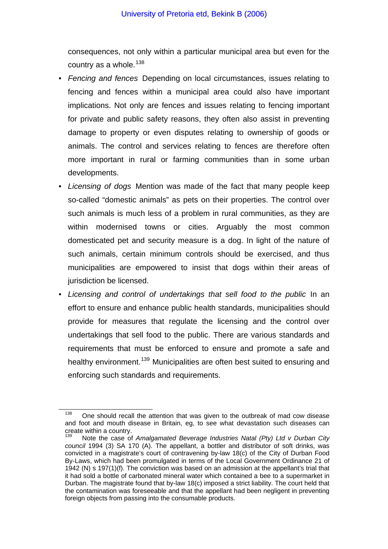consequences, not only within a particular municipal area but even for the country as a whole. $138$ 

- *Fencing and fences* Depending on local circumstances, issues relating to fencing and fences within a municipal area could also have important implications. Not only are fences and issues relating to fencing important for private and public safety reasons, they often also assist in preventing damage to property or even disputes relating to ownership of goods or animals. The control and services relating to fences are therefore often more important in rural or farming communities than in some urban developments.
- *Licensing of dogs* Mention was made of the fact that many people keep so-called "domestic animals" as pets on their properties. The control over such animals is much less of a problem in rural communities, as they are within modernised towns or cities. Arguably the most common domesticated pet and security measure is a dog. In light of the nature of such animals, certain minimum controls should be exercised, and thus municipalities are empowered to insist that dogs within their areas of jurisdiction be licensed.
- *Licensing and control of undertakings that sell food to the public* In an effort to ensure and enhance public health standards, municipalities should provide for measures that regulate the licensing and the control over undertakings that sell food to the public. There are various standards and requirements that must be enforced to ensure and promote a safe and healthy environment.<sup>[139](#page-58-1)</sup> Municipalities are often best suited to ensuring and enforcing such standards and requirements.

<span id="page-58-0"></span> $138$  One should recall the attention that was given to the outbreak of mad cow disease and foot and mouth disease in Britain, eg, to see what devastation such diseases can create within a country.

<span id="page-58-1"></span>Note the case of *Amalgamated Beverage Industries Natal (Pty) Ltd v Durban City council* 1994 (3) SA 170 (A). The appellant, a bottler and distributor of soft drinks, was convicted in a magistrate's court of contravening by-law 18(c) of the City of Durban Food By-Laws, which had been promulgated in terms of the Local Government Ordinance 21 of 1942 (N) s 197(1)(f). The conviction was based on an admission at the appellant's trial that it had sold a bottle of carbonated mineral water which contained a bee to a supermarket in Durban. The magistrate found that by-law 18(c) imposed a strict liability. The court held that the contamination was foreseeable and that the appellant had been negligent in preventing foreign objects from passing into the consumable products.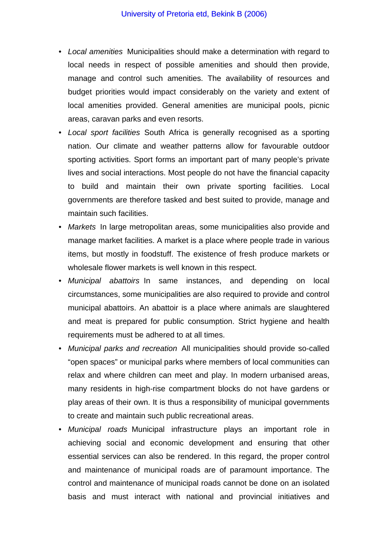- *Local amenities* Municipalities should make a determination with regard to local needs in respect of possible amenities and should then provide, manage and control such amenities. The availability of resources and budget priorities would impact considerably on the variety and extent of local amenities provided. General amenities are municipal pools, picnic areas, caravan parks and even resorts.
- *Local sport facilities* South Africa is generally recognised as a sporting nation. Our climate and weather patterns allow for favourable outdoor sporting activities. Sport forms an important part of many people's private lives and social interactions. Most people do not have the financial capacity to build and maintain their own private sporting facilities. Local governments are therefore tasked and best suited to provide, manage and maintain such facilities.
- *Markets* In large metropolitan areas, some municipalities also provide and manage market facilities. A market is a place where people trade in various items, but mostly in foodstuff. The existence of fresh produce markets or wholesale flower markets is well known in this respect.
- *Municipal abattoirs* In same instances, and depending on local circumstances, some municipalities are also required to provide and control municipal abattoirs. An abattoir is a place where animals are slaughtered and meat is prepared for public consumption. Strict hygiene and health requirements must be adhered to at all times.
- *Municipal parks and recreation* All municipalities should provide so-called "open spaces" or municipal parks where members of local communities can relax and where children can meet and play. In modern urbanised areas, many residents in high-rise compartment blocks do not have gardens or play areas of their own. It is thus a responsibility of municipal governments to create and maintain such public recreational areas.
- *Municipal roads* Municipal infrastructure plays an important role in achieving social and economic development and ensuring that other essential services can also be rendered. In this regard, the proper control and maintenance of municipal roads are of paramount importance. The control and maintenance of municipal roads cannot be done on an isolated basis and must interact with national and provincial initiatives and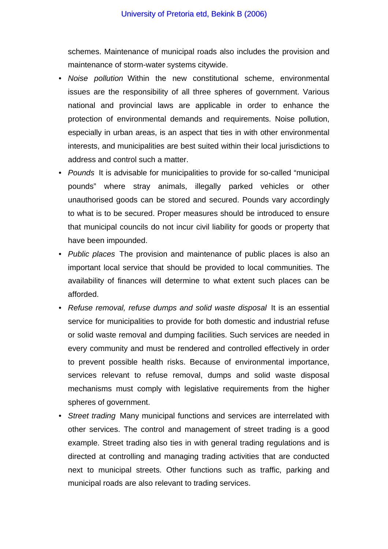schemes. Maintenance of municipal roads also includes the provision and maintenance of storm-water systems citywide.

- *Noise pollution* Within the new constitutional scheme, environmental issues are the responsibility of all three spheres of government. Various national and provincial laws are applicable in order to enhance the protection of environmental demands and requirements. Noise pollution, especially in urban areas, is an aspect that ties in with other environmental interests, and municipalities are best suited within their local jurisdictions to address and control such a matter.
- *Pounds* It is advisable for municipalities to provide for so-called "municipal pounds" where stray animals, illegally parked vehicles or other unauthorised goods can be stored and secured. Pounds vary accordingly to what is to be secured. Proper measures should be introduced to ensure that municipal councils do not incur civil liability for goods or property that have been impounded.
- *Public places* The provision and maintenance of public places is also an important local service that should be provided to local communities. The availability of finances will determine to what extent such places can be afforded.
- *Refuse removal, refuse dumps and solid waste disposal* It is an essential service for municipalities to provide for both domestic and industrial refuse or solid waste removal and dumping facilities. Such services are needed in every community and must be rendered and controlled effectively in order to prevent possible health risks. Because of environmental importance, services relevant to refuse removal, dumps and solid waste disposal mechanisms must comply with legislative requirements from the higher spheres of government.
- *Street trading* Many municipal functions and services are interrelated with other services. The control and management of street trading is a good example. Street trading also ties in with general trading regulations and is directed at controlling and managing trading activities that are conducted next to municipal streets. Other functions such as traffic, parking and municipal roads are also relevant to trading services.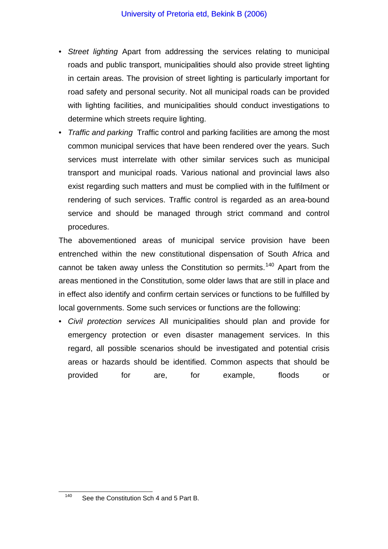- *Street lighting* Apart from addressing the services relating to municipal roads and public transport, municipalities should also provide street lighting in certain areas. The provision of street lighting is particularly important for road safety and personal security. Not all municipal roads can be provided with lighting facilities, and municipalities should conduct investigations to determine which streets require lighting.
- *Traffic and parking* Traffic control and parking facilities are among the most common municipal services that have been rendered over the years. Such services must interrelate with other similar services such as municipal transport and municipal roads. Various national and provincial laws also exist regarding such matters and must be complied with in the fulfilment or rendering of such services. Traffic control is regarded as an area-bound service and should be managed through strict command and control procedures.

The abovementioned areas of municipal service provision have been entrenched within the new constitutional dispensation of South Africa and cannot be taken away unless the Constitution so permits.<sup>[140](#page-61-0)</sup> Apart from the areas mentioned in the Constitution, some older laws that are still in place and in effect also identify and confirm certain services or functions to be fulfilled by local governments. Some such services or functions are the following:

• *Civil protection services* All municipalities should plan and provide for emergency protection or even disaster management services. In this regard, all possible scenarios should be investigated and potential crisis areas or hazards should be identified. Common aspects that should be provided for are, for example, floods or

<span id="page-61-0"></span><sup>&</sup>lt;sup>140</sup> See the Constitution Sch 4 and 5 Part B.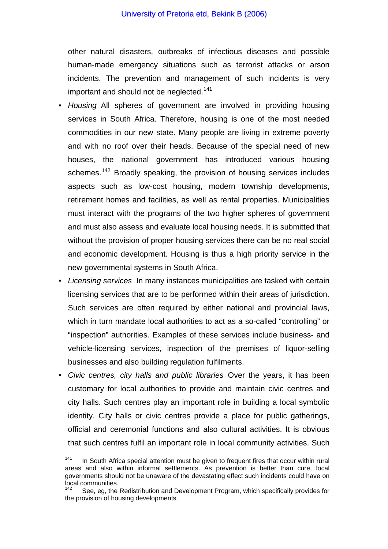other natural disasters, outbreaks of infectious diseases and possible human-made emergency situations such as terrorist attacks or arson incidents. The prevention and management of such incidents is very important and should not be neglected.<sup>[141](#page-62-0)</sup>

- *Housing* All spheres of government are involved in providing housing services in South Africa. Therefore, housing is one of the most needed commodities in our new state. Many people are living in extreme poverty and with no roof over their heads. Because of the special need of new houses, the national government has introduced various housing schemes.<sup>[142](#page-62-1)</sup> Broadly speaking, the provision of housing services includes aspects such as low-cost housing, modern township developments, retirement homes and facilities, as well as rental properties. Municipalities must interact with the programs of the two higher spheres of government and must also assess and evaluate local housing needs. It is submitted that without the provision of proper housing services there can be no real social and economic development. Housing is thus a high priority service in the new governmental systems in South Africa.
- *Licensing services* In many instances municipalities are tasked with certain licensing services that are to be performed within their areas of jurisdiction. Such services are often required by either national and provincial laws, which in turn mandate local authorities to act as a so-called "controlling" or "inspection" authorities. Examples of these services include business- and vehicle-licensing services, inspection of the premises of liquor-selling businesses and also building regulation fulfilments.
- *Civic centres, city halls and public libraries* Over the years, it has been customary for local authorities to provide and maintain civic centres and city halls. Such centres play an important role in building a local symbolic identity. City halls or civic centres provide a place for public gatherings, official and ceremonial functions and also cultural activities. It is obvious that such centres fulfil an important role in local community activities. Such

<span id="page-62-0"></span> $141$  In South Africa special attention must be given to frequent fires that occur within rural areas and also within informal settlements. As prevention is better than cure, local governments should not be unaware of the devastating effect such incidents could have on local communities.

<span id="page-62-1"></span>See, eg, the Redistribution and Development Program, which specifically provides for the provision of housing developments.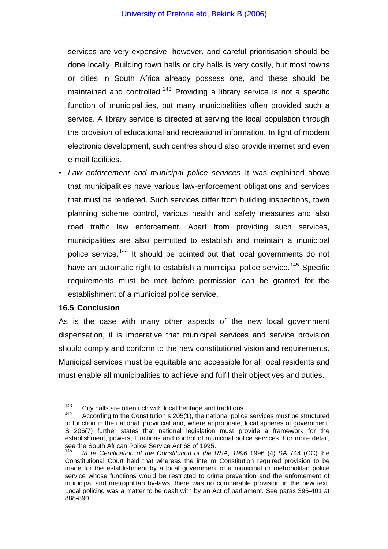services are very expensive, however, and careful prioritisation should be done locally. Building town halls or city halls is very costly, but most towns or cities in South Africa already possess one, and these should be maintained and controlled.<sup>[143](#page-63-0)</sup> Providing a library service is not a specific function of municipalities, but many municipalities often provided such a service. A library service is directed at serving the local population through the provision of educational and recreational information. In light of modern electronic development, such centres should also provide internet and even e-mail facilities.

• *Law enforcement and municipal police services* It was explained above that municipalities have various law-enforcement obligations and services that must be rendered. Such services differ from building inspections, town planning scheme control, various health and safety measures and also road traffic law enforcement. Apart from providing such services, municipalities are also permitted to establish and maintain a municipal police service.<sup>[144](#page-63-1)</sup> It should be pointed out that local governments do not have an automatic right to establish a municipal police service.<sup>[145](#page-63-2)</sup> Specific requirements must be met before permission can be granted for the establishment of a municipal police service.

#### **16.5 Conclusion**

As is the case with many other aspects of the new local government dispensation, it is imperative that municipal services and service provision should comply and conform to the new constitutional vision and requirements. Municipal services must be equitable and accessible for all local residents and must enable all municipalities to achieve and fulfil their objectives and duties.

<span id="page-63-1"></span><span id="page-63-0"></span><sup>&</sup>lt;sup>143</sup> City halls are often rich with local heritage and traditions.<br><sup>144</sup> According to the Constitution s 205(1), the national police services must be structured to function in the national, provincial and, where appropriate, local spheres of government. S 206(7) further states that national legislation must provide a framework for the establishment, powers, functions and control of municipal police services. For more detail, see the South African Police Service Act 68 of 1995.

<span id="page-63-2"></span>In re Certification of the Constitution of the RSA, 1996 1996 (4) SA 744 (CC) the Constitutional Court held that whereas the interim Constitution required provision to be made for the establishment by a local government of a municipal or metropolitan police service whose functions would be restricted to crime prevention and the enforcement of municipal and metropolitan by-laws, there was no comparable provision in the new text. Local policing was a matter to be dealt with by an Act of parliament. See paras 395-401 at 888-890.